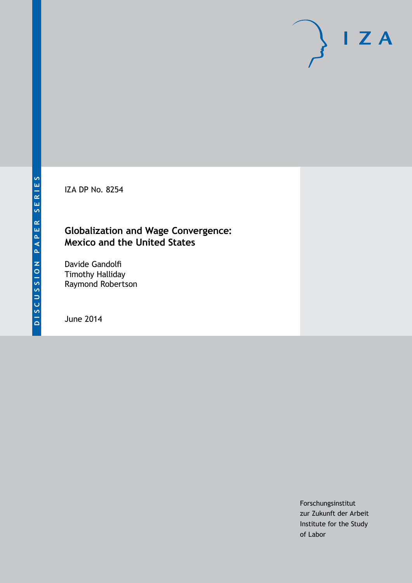IZA DP No. 8254

### **Globalization and Wage Convergence: Mexico and the United States**

Davide Gandolfi Timothy Halliday Raymond Robertson

June 2014

Forschungsinstitut zur Zukunft der Arbeit Institute for the Study of Labor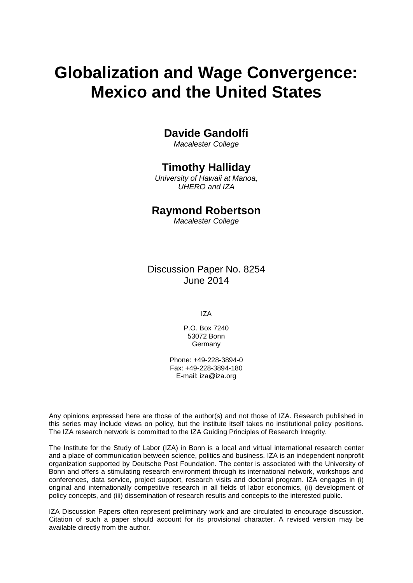# **Globalization and Wage Convergence: Mexico and the United States**

### **Davide Gandolfi**

*Macalester College*

### **Timothy Halliday**

*University of Hawaii at Manoa, UHERO and IZA*

### **Raymond Robertson**

*Macalester College*

Discussion Paper No. 8254 June 2014

IZA

P.O. Box 7240 53072 Bonn Germany

Phone: +49-228-3894-0 Fax: +49-228-3894-180 E-mail: [iza@iza.org](mailto:iza@iza.org)

Any opinions expressed here are those of the author(s) and not those of IZA. Research published in this series may include views on policy, but the institute itself takes no institutional policy positions. The IZA research network is committed to the IZA Guiding Principles of Research Integrity.

The Institute for the Study of Labor (IZA) in Bonn is a local and virtual international research center and a place of communication between science, politics and business. IZA is an independent nonprofit organization supported by Deutsche Post Foundation. The center is associated with the University of Bonn and offers a stimulating research environment through its international network, workshops and conferences, data service, project support, research visits and doctoral program. IZA engages in (i) original and internationally competitive research in all fields of labor economics, (ii) development of policy concepts, and (iii) dissemination of research results and concepts to the interested public.

<span id="page-1-0"></span>IZA Discussion Papers often represent preliminary work and are circulated to encourage discussion. Citation of such a paper should account for its provisional character. A revised version may be available directly from the author.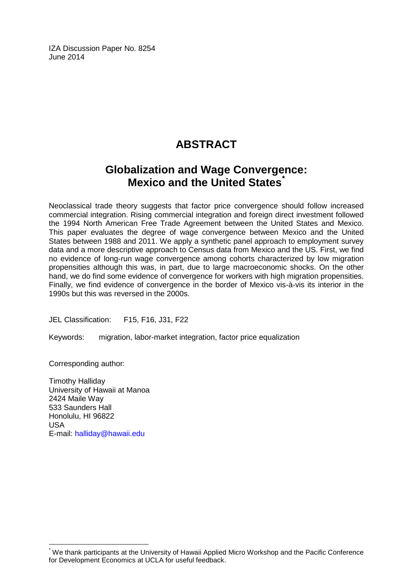IZA Discussion Paper No. 8254 June 2014

# **ABSTRACT**

## **Globalization and Wage Convergence: Mexico and the United States[\\*](#page-1-0)**

Neoclassical trade theory suggests that factor price convergence should follow increased commercial integration. Rising commercial integration and foreign direct investment followed the 1994 North American Free Trade Agreement between the United States and Mexico. This paper evaluates the degree of wage convergence between Mexico and the United States between 1988 and 2011. We apply a synthetic panel approach to employment survey data and a more descriptive approach to Census data from Mexico and the US. First, we find no evidence of long-run wage convergence among cohorts characterized by low migration propensities although this was, in part, due to large macroeconomic shocks. On the other hand, we do find some evidence of convergence for workers with high migration propensities. Finally, we find evidence of convergence in the border of Mexico vis-à-vis its interior in the 1990s but this was reversed in the 2000s.

JEL Classification: F15, F16, J31, F22

Keywords: migration, labor-market integration, factor price equalization

Corresponding author:

Timothy Halliday University of Hawaii at Manoa 2424 Maile Way 533 Saunders Hall Honolulu, HI 96822 USA E-mail: [halliday@hawaii.edu](mailto:halliday@hawaii.edu)

\* We thank participants at the University of Hawaii Applied Micro Workshop and the Pacific Conference for Development Economics at UCLA for useful feedback.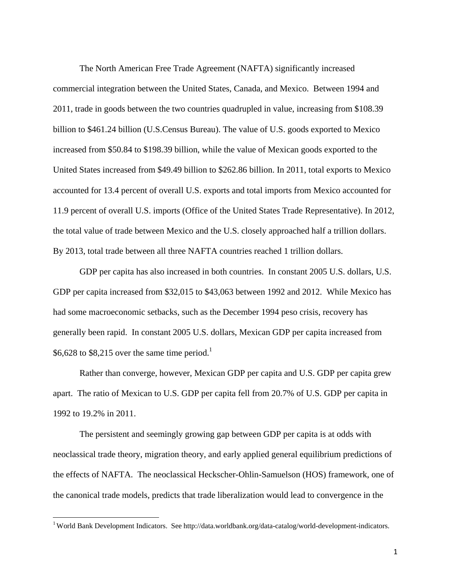The North American Free Trade Agreement (NAFTA) significantly increased commercial integration between the United States, Canada, and Mexico. Between 1994 and 2011, trade in goods between the two countries quadrupled in value, increasing from \$108.39 billion to \$461.24 billion (U.S.Census Bureau). The value of U.S. goods exported to Mexico increased from \$50.84 to \$198.39 billion, while the value of Mexican goods exported to the United States increased from \$49.49 billion to \$262.86 billion. In 2011, total exports to Mexico accounted for 13.4 percent of overall U.S. exports and total imports from Mexico accounted for 11.9 percent of overall U.S. imports (Office of the United States Trade Representative). In 2012, the total value of trade between Mexico and the U.S. closely approached half a trillion dollars. By 2013, total trade between all three NAFTA countries reached 1 trillion dollars.

GDP per capita has also increased in both countries. In constant 2005 U.S. dollars, U.S. GDP per capita increased from \$32,015 to \$43,063 between 1992 and 2012. While Mexico has had some macroeconomic setbacks, such as the December 1994 peso crisis, recovery has generally been rapid. In constant 2005 U.S. dollars, Mexican GDP per capita increased from \$6,628 to \$8,215 over the same time period.<sup>1</sup>

Rather than converge, however, Mexican GDP per capita and U.S. GDP per capita grew apart. The ratio of Mexican to U.S. GDP per capita fell from 20.7% of U.S. GDP per capita in 1992 to 19.2% in 2011.

The persistent and seemingly growing gap between GDP per capita is at odds with neoclassical trade theory, migration theory, and early applied general equilibrium predictions of the effects of NAFTA. The neoclassical Heckscher-Ohlin-Samuelson (HOS) framework, one of the canonical trade models, predicts that trade liberalization would lead to convergence in the

<sup>&</sup>lt;sup>1</sup> World Bank Development Indicators. See http://data.worldbank.org/data-catalog/world-development-indicators.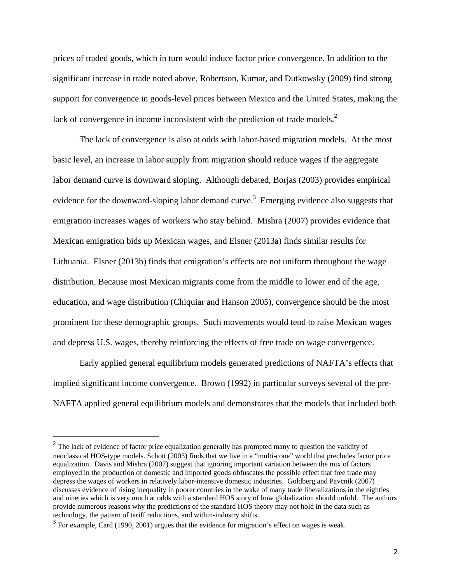prices of traded goods, which in turn would induce factor price convergence. In addition to the significant increase in trade noted above, Robertson, Kumar, and Dutkowsky (2009) find strong support for convergence in goods-level prices between Mexico and the United States, making the lack of convergence in income inconsistent with the prediction of trade models. $<sup>2</sup>$ </sup>

The lack of convergence is also at odds with labor-based migration models. At the most basic level, an increase in labor supply from migration should reduce wages if the aggregate labor demand curve is downward sloping. Although debated, Borjas (2003) provides empirical evidence for the downward-sloping labor demand curve.<sup>3</sup> Emerging evidence also suggests that emigration increases wages of workers who stay behind. Mishra (2007) provides evidence that Mexican emigration bids up Mexican wages, and Elsner (2013a) finds similar results for Lithuania. Elsner (2013b) finds that emigration's effects are not uniform throughout the wage distribution. Because most Mexican migrants come from the middle to lower end of the age, education, and wage distribution (Chiquiar and Hanson 2005), convergence should be the most prominent for these demographic groups. Such movements would tend to raise Mexican wages and depress U.S. wages, thereby reinforcing the effects of free trade on wage convergence.

Early applied general equilibrium models generated predictions of NAFTA's effects that implied significant income convergence. Brown (1992) in particular surveys several of the pre-NAFTA applied general equilibrium models and demonstrates that the models that included both

<sup>&</sup>lt;sup>2</sup> The lack of evidence of factor price equalization generally has prompted many to question the validity of neoclassical HOS-type models. Schott (2003) finds that we live in a "multi-cone" world that precludes factor price equalization. Davis and Mishra (2007) suggest that ignoring important variation between the mix of factors employed in the production of domestic and imported goods obfuscates the possible effect that free trade may depress the wages of workers in relatively labor-intensive domestic industries. Goldberg and Pavcnik (2007) discusses evidence of rising inequality in poorer countries in the wake of many trade liberalizations in the eighties and nineties which is very much at odds with a standard HOS story of how globalization should unfold. The authors provide numerous reasons why the predictions of the standard HOS theory may not hold in the data such as technology, the pattern of tariff reductions, and within-industry shifts.

<sup>&</sup>lt;sup>3</sup> For example, Card (1990, 2001) argues that the evidence for migration's effect on wages is weak.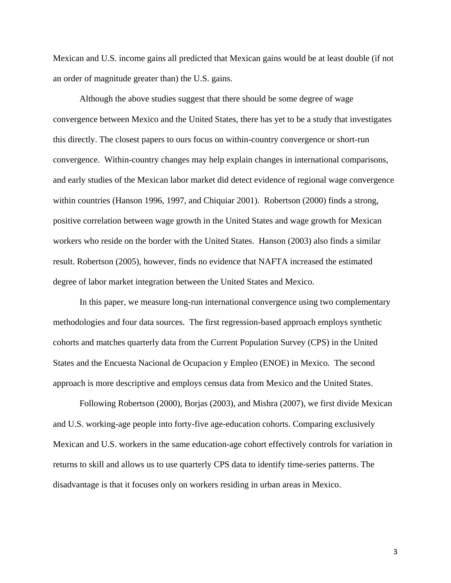Mexican and U.S. income gains all predicted that Mexican gains would be at least double (if not an order of magnitude greater than) the U.S. gains.

Although the above studies suggest that there should be some degree of wage convergence between Mexico and the United States, there has yet to be a study that investigates this directly. The closest papers to ours focus on within-country convergence or short-run convergence. Within-country changes may help explain changes in international comparisons, and early studies of the Mexican labor market did detect evidence of regional wage convergence within countries (Hanson 1996, 1997, and Chiquiar 2001). Robertson (2000) finds a strong, positive correlation between wage growth in the United States and wage growth for Mexican workers who reside on the border with the United States. Hanson (2003) also finds a similar result. Robertson (2005), however, finds no evidence that NAFTA increased the estimated degree of labor market integration between the United States and Mexico.

 In this paper, we measure long-run international convergence using two complementary methodologies and four data sources. The first regression-based approach employs synthetic cohorts and matches quarterly data from the Current Population Survey (CPS) in the United States and the Encuesta Nacional de Ocupacion y Empleo (ENOE) in Mexico. The second approach is more descriptive and employs census data from Mexico and the United States.

Following Robertson (2000), Borjas (2003), and Mishra (2007), we first divide Mexican and U.S. working-age people into forty-five age-education cohorts. Comparing exclusively Mexican and U.S. workers in the same education-age cohort effectively controls for variation in returns to skill and allows us to use quarterly CPS data to identify time-series patterns. The disadvantage is that it focuses only on workers residing in urban areas in Mexico.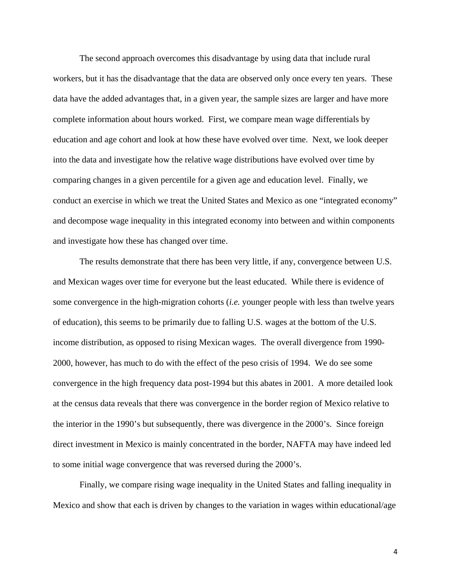The second approach overcomes this disadvantage by using data that include rural workers, but it has the disadvantage that the data are observed only once every ten years. These data have the added advantages that, in a given year, the sample sizes are larger and have more complete information about hours worked. First, we compare mean wage differentials by education and age cohort and look at how these have evolved over time. Next, we look deeper into the data and investigate how the relative wage distributions have evolved over time by comparing changes in a given percentile for a given age and education level. Finally, we conduct an exercise in which we treat the United States and Mexico as one "integrated economy" and decompose wage inequality in this integrated economy into between and within components and investigate how these has changed over time.

The results demonstrate that there has been very little, if any, convergence between U.S. and Mexican wages over time for everyone but the least educated. While there is evidence of some convergence in the high-migration cohorts (*i.e.* younger people with less than twelve years of education), this seems to be primarily due to falling U.S. wages at the bottom of the U.S. income distribution, as opposed to rising Mexican wages. The overall divergence from 1990- 2000, however, has much to do with the effect of the peso crisis of 1994. We do see some convergence in the high frequency data post-1994 but this abates in 2001. A more detailed look at the census data reveals that there was convergence in the border region of Mexico relative to the interior in the 1990's but subsequently, there was divergence in the 2000's. Since foreign direct investment in Mexico is mainly concentrated in the border, NAFTA may have indeed led to some initial wage convergence that was reversed during the 2000's.

Finally, we compare rising wage inequality in the United States and falling inequality in Mexico and show that each is driven by changes to the variation in wages within educational/age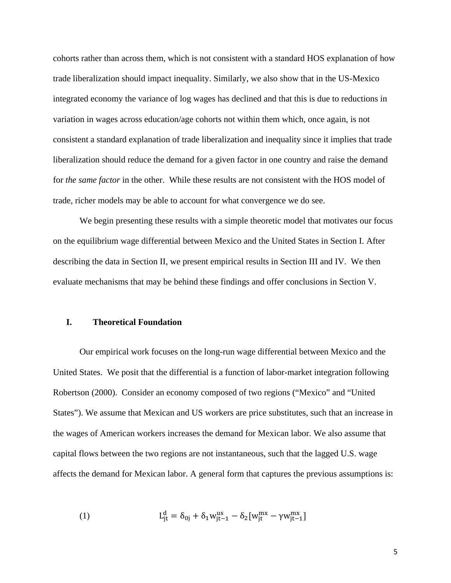cohorts rather than across them, which is not consistent with a standard HOS explanation of how trade liberalization should impact inequality. Similarly, we also show that in the US-Mexico integrated economy the variance of log wages has declined and that this is due to reductions in variation in wages across education/age cohorts not within them which, once again, is not consistent a standard explanation of trade liberalization and inequality since it implies that trade liberalization should reduce the demand for a given factor in one country and raise the demand for *the same factor* in the other. While these results are not consistent with the HOS model of trade, richer models may be able to account for what convergence we do see.

We begin presenting these results with a simple theoretic model that motivates our focus on the equilibrium wage differential between Mexico and the United States in Section I. After describing the data in Section II, we present empirical results in Section III and IV. We then evaluate mechanisms that may be behind these findings and offer conclusions in Section V.

#### **I. Theoretical Foundation**

Our empirical work focuses on the long-run wage differential between Mexico and the United States. We posit that the differential is a function of labor-market integration following Robertson (2000). Consider an economy composed of two regions ("Mexico" and "United States"). We assume that Mexican and US workers are price substitutes, such that an increase in the wages of American workers increases the demand for Mexican labor. We also assume that capital flows between the two regions are not instantaneous, such that the lagged U.S. wage affects the demand for Mexican labor. A general form that captures the previous assumptions is:

(1) 
$$
L_{jt}^{d} = \delta_{0j} + \delta_1 w_{jt-1}^{us} - \delta_2 [w_{jt}^{mx} - \gamma w_{jt-1}^{mx}]
$$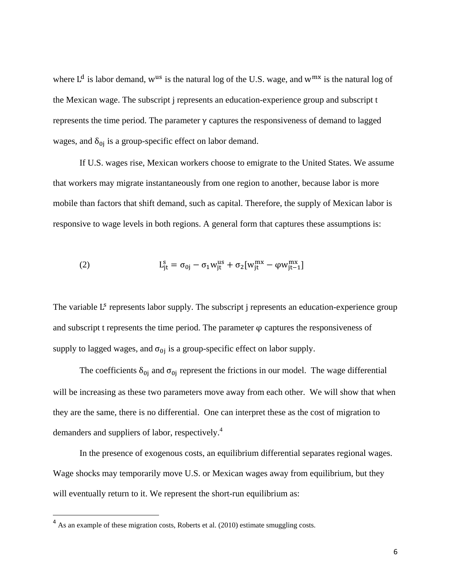where  $L^d$  is labor demand, w<sup>us</sup> is the natural log of the U.S. wage, and w<sup>mx</sup> is the natural log of the Mexican wage. The subscript j represents an education-experience group and subscript t represents the time period. The parameter γ captures the responsiveness of demand to lagged wages, and  $\delta_{0i}$  is a group-specific effect on labor demand.

If U.S. wages rise, Mexican workers choose to emigrate to the United States. We assume that workers may migrate instantaneously from one region to another, because labor is more mobile than factors that shift demand, such as capital. Therefore, the supply of Mexican labor is responsive to wage levels in both regions. A general form that captures these assumptions is:

(2) 
$$
L_{jt}^{s} = \sigma_{0j} - \sigma_1 w_{jt}^{us} + \sigma_2 [w_{jt}^{mx} - \varphi w_{jt-1}^{mx}]
$$

The variable L<sup>s</sup> represents labor supply. The subscript j represents an education-experience group and subscript t represents the time period. The parameter  $\varphi$  captures the responsiveness of supply to lagged wages, and  $\sigma_{0i}$  is a group-specific effect on labor supply.

The coefficients  $\delta_{0j}$  and  $\sigma_{0j}$  represent the frictions in our model. The wage differential will be increasing as these two parameters move away from each other. We will show that when they are the same, there is no differential. One can interpret these as the cost of migration to demanders and suppliers of labor, respectively.<sup>4</sup>

In the presence of exogenous costs, an equilibrium differential separates regional wages. Wage shocks may temporarily move U.S. or Mexican wages away from equilibrium, but they will eventually return to it. We represent the short-run equilibrium as:

 $4$  As an example of these migration costs, Roberts et al. (2010) estimate smuggling costs.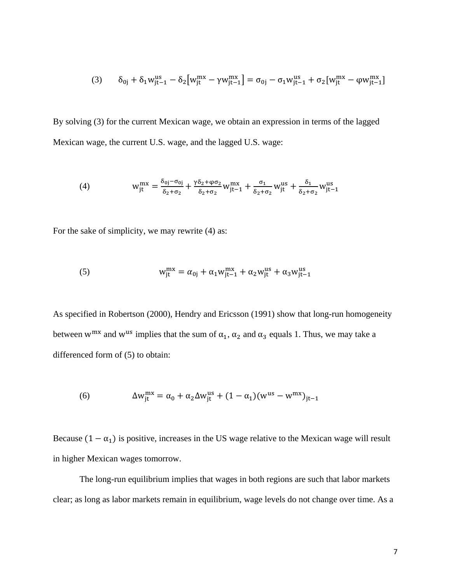$$
(3) \qquad \delta_{0j}+\delta_{1}w_{jt-1}^{us}-\delta_{2}\big[w_{jt}^{mx}-\gamma w_{jt-1}^{mx}\big]=\sigma_{0j}-\sigma_{1}w_{jt-1}^{us}+\sigma_{2}[w_{jt}^{mx}-\phi w_{jt-1}^{mx}]
$$

By solving (3) for the current Mexican wage, we obtain an expression in terms of the lagged Mexican wage, the current U.S. wage, and the lagged U.S. wage:

(4) 
$$
w_{jt}^{mx} = \frac{\delta_{0j} - \sigma_{0j}}{\delta_2 + \sigma_2} + \frac{\gamma \delta_2 + \varphi \sigma_2}{\delta_2 + \sigma_2} w_{jt-1}^{mx} + \frac{\sigma_1}{\delta_2 + \sigma_2} w_{jt}^{us} + \frac{\delta_1}{\delta_2 + \sigma_2} w_{jt-1}^{us}
$$

For the sake of simplicity, we may rewrite (4) as:

(5) 
$$
w_{jt}^{mx} = \alpha_{0j} + \alpha_1 w_{jt-1}^{mx} + \alpha_2 w_{jt}^{us} + \alpha_3 w_{jt-1}^{us}
$$

As specified in Robertson (2000), Hendry and Ericsson (1991) show that long-run homogeneity between w<sup>mx</sup> and w<sup>us</sup> implies that the sum of  $\alpha_1$ ,  $\alpha_2$  and  $\alpha_3$  equals 1. Thus, we may take a differenced form of (5) to obtain:

(6) 
$$
\Delta w_{jt}^{mx} = \alpha_0 + \alpha_2 \Delta w_{jt}^{us} + (1 - \alpha_1)(w^{us} - w^{mx})_{jt-1}
$$

Because  $(1 - \alpha_1)$  is positive, increases in the US wage relative to the Mexican wage will result in higher Mexican wages tomorrow.

The long-run equilibrium implies that wages in both regions are such that labor markets clear; as long as labor markets remain in equilibrium, wage levels do not change over time. As a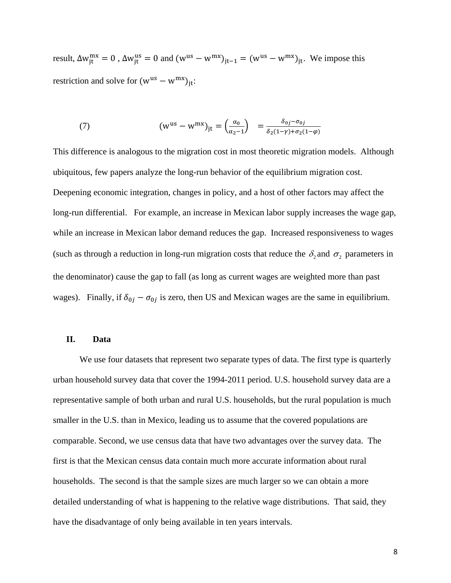result,  $\Delta w_{jt}^{mx} = 0$ ,  $\Delta w_{jt}^{us} = 0$  and  $(w^{us} - w^{mx})_{jt-1} = (w^{us} - w^{mx})_{jt}$ . We impose this restriction and solve for  $(w^{us} - w^{mx})_{it}$ :

(7) 
$$
\left(\mathbf{w}^{\text{us}} - \mathbf{w}^{\text{mx}}\right)_{\text{jt}} = \left(\frac{\alpha_0}{\alpha_2 - 1}\right) = \frac{\delta_{0j} - \sigma_{0j}}{\delta_2(1 - \gamma) + \sigma_2(1 - \varphi)}
$$

This difference is analogous to the migration cost in most theoretic migration models. Although ubiquitous, few papers analyze the long-run behavior of the equilibrium migration cost. Deepening economic integration, changes in policy, and a host of other factors may affect the long-run differential. For example, an increase in Mexican labor supply increases the wage gap, while an increase in Mexican labor demand reduces the gap. Increased responsiveness to wages (such as through a reduction in long-run migration costs that reduce the  $\delta_2$  and  $\sigma_2$  parameters in the denominator) cause the gap to fall (as long as current wages are weighted more than past wages). Finally, if  $\delta_{0j} - \sigma_{0j}$  is zero, then US and Mexican wages are the same in equilibrium.

#### **II. Data**

We use four datasets that represent two separate types of data. The first type is quarterly urban household survey data that cover the 1994-2011 period. U.S. household survey data are a representative sample of both urban and rural U.S. households, but the rural population is much smaller in the U.S. than in Mexico, leading us to assume that the covered populations are comparable. Second, we use census data that have two advantages over the survey data. The first is that the Mexican census data contain much more accurate information about rural households. The second is that the sample sizes are much larger so we can obtain a more detailed understanding of what is happening to the relative wage distributions. That said, they have the disadvantage of only being available in ten years intervals.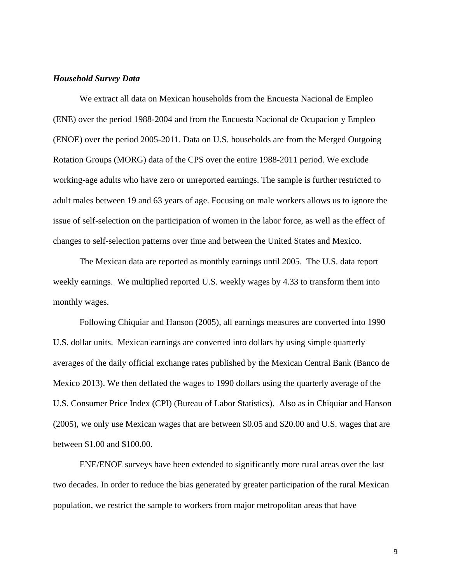#### *Household Survey Data*

We extract all data on Mexican households from the Encuesta Nacional de Empleo (ENE) over the period 1988-2004 and from the Encuesta Nacional de Ocupacion y Empleo (ENOE) over the period 2005-2011. Data on U.S. households are from the Merged Outgoing Rotation Groups (MORG) data of the CPS over the entire 1988-2011 period. We exclude working-age adults who have zero or unreported earnings. The sample is further restricted to adult males between 19 and 63 years of age. Focusing on male workers allows us to ignore the issue of self-selection on the participation of women in the labor force, as well as the effect of changes to self-selection patterns over time and between the United States and Mexico.

The Mexican data are reported as monthly earnings until 2005. The U.S. data report weekly earnings. We multiplied reported U.S. weekly wages by 4.33 to transform them into monthly wages.

Following Chiquiar and Hanson (2005), all earnings measures are converted into 1990 U.S. dollar units. Mexican earnings are converted into dollars by using simple quarterly averages of the daily official exchange rates published by the Mexican Central Bank (Banco de Mexico 2013). We then deflated the wages to 1990 dollars using the quarterly average of the U.S. Consumer Price Index (CPI) (Bureau of Labor Statistics). Also as in Chiquiar and Hanson (2005), we only use Mexican wages that are between \$0.05 and \$20.00 and U.S. wages that are between \$1.00 and \$100.00.

ENE/ENOE surveys have been extended to significantly more rural areas over the last two decades. In order to reduce the bias generated by greater participation of the rural Mexican population, we restrict the sample to workers from major metropolitan areas that have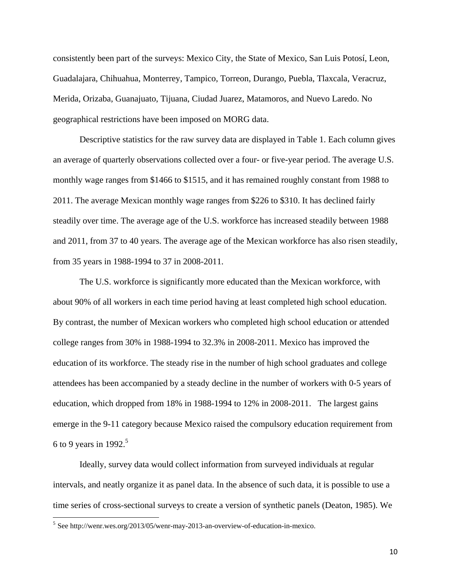consistently been part of the surveys: Mexico City, the State of Mexico, San Luis Potosí, Leon, Guadalajara, Chihuahua, Monterrey, Tampico, Torreon, Durango, Puebla, Tlaxcala, Veracruz, Merida, Orizaba, Guanajuato, Tijuana, Ciudad Juarez, Matamoros, and Nuevo Laredo. No geographical restrictions have been imposed on MORG data.

Descriptive statistics for the raw survey data are displayed in Table 1. Each column gives an average of quarterly observations collected over a four- or five-year period. The average U.S. monthly wage ranges from \$1466 to \$1515, and it has remained roughly constant from 1988 to 2011. The average Mexican monthly wage ranges from \$226 to \$310. It has declined fairly steadily over time. The average age of the U.S. workforce has increased steadily between 1988 and 2011, from 37 to 40 years. The average age of the Mexican workforce has also risen steadily, from 35 years in 1988-1994 to 37 in 2008-2011.

The U.S. workforce is significantly more educated than the Mexican workforce, with about 90% of all workers in each time period having at least completed high school education. By contrast, the number of Mexican workers who completed high school education or attended college ranges from 30% in 1988-1994 to 32.3% in 2008-2011. Mexico has improved the education of its workforce. The steady rise in the number of high school graduates and college attendees has been accompanied by a steady decline in the number of workers with 0-5 years of education, which dropped from 18% in 1988-1994 to 12% in 2008-2011. The largest gains emerge in the 9-11 category because Mexico raised the compulsory education requirement from 6 to 9 years in 1992.<sup>5</sup>

Ideally, survey data would collect information from surveyed individuals at regular intervals, and neatly organize it as panel data. In the absence of such data, it is possible to use a time series of cross-sectional surveys to create a version of synthetic panels (Deaton, 1985). We

<sup>5</sup> See http://wenr.wes.org/2013/05/wenr-may-2013-an-overview-of-education-in-mexico.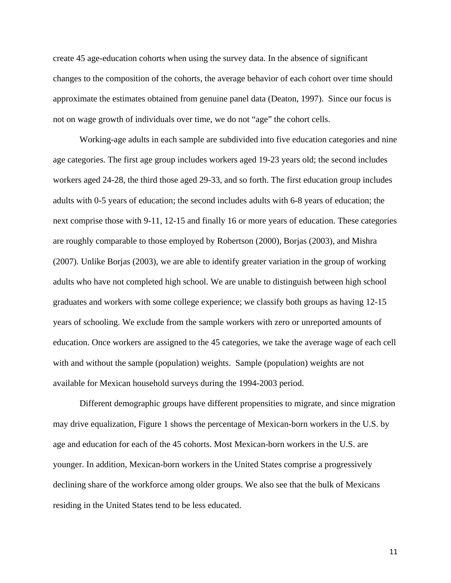create 45 age-education cohorts when using the survey data. In the absence of significant changes to the composition of the cohorts, the average behavior of each cohort over time should approximate the estimates obtained from genuine panel data (Deaton, 1997). Since our focus is not on wage growth of individuals over time, we do not "age" the cohort cells.

Working-age adults in each sample are subdivided into five education categories and nine age categories. The first age group includes workers aged 19-23 years old; the second includes workers aged 24-28, the third those aged 29-33, and so forth. The first education group includes adults with 0-5 years of education; the second includes adults with 6-8 years of education; the next comprise those with 9-11, 12-15 and finally 16 or more years of education. These categories are roughly comparable to those employed by Robertson (2000), Borjas (2003), and Mishra (2007). Unlike Borjas (2003), we are able to identify greater variation in the group of working adults who have not completed high school. We are unable to distinguish between high school graduates and workers with some college experience; we classify both groups as having 12-15 years of schooling. We exclude from the sample workers with zero or unreported amounts of education. Once workers are assigned to the 45 categories, we take the average wage of each cell with and without the sample (population) weights. Sample (population) weights are not available for Mexican household surveys during the 1994-2003 period.

Different demographic groups have different propensities to migrate, and since migration may drive equalization, Figure 1 shows the percentage of Mexican-born workers in the U.S. by age and education for each of the 45 cohorts. Most Mexican-born workers in the U.S. are younger. In addition, Mexican-born workers in the United States comprise a progressively declining share of the workforce among older groups. We also see that the bulk of Mexicans residing in the United States tend to be less educated.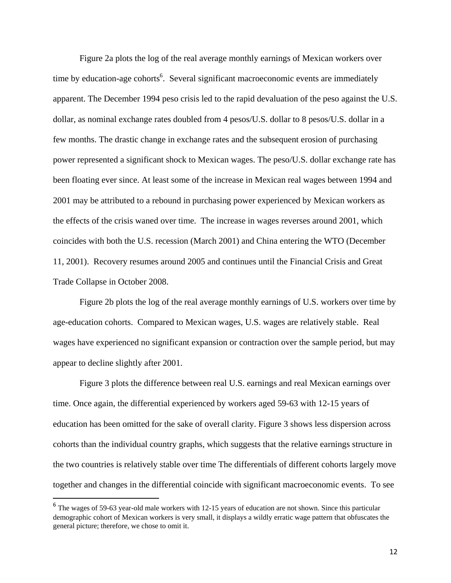Figure 2a plots the log of the real average monthly earnings of Mexican workers over time by education-age cohorts<sup>6</sup>. Several significant macroeconomic events are immediately apparent. The December 1994 peso crisis led to the rapid devaluation of the peso against the U.S. dollar, as nominal exchange rates doubled from 4 pesos/U.S. dollar to 8 pesos/U.S. dollar in a few months. The drastic change in exchange rates and the subsequent erosion of purchasing power represented a significant shock to Mexican wages. The peso/U.S. dollar exchange rate has been floating ever since. At least some of the increase in Mexican real wages between 1994 and 2001 may be attributed to a rebound in purchasing power experienced by Mexican workers as the effects of the crisis waned over time. The increase in wages reverses around 2001, which coincides with both the U.S. recession (March 2001) and China entering the WTO (December 11, 2001). Recovery resumes around 2005 and continues until the Financial Crisis and Great Trade Collapse in October 2008.

Figure 2b plots the log of the real average monthly earnings of U.S. workers over time by age-education cohorts. Compared to Mexican wages, U.S. wages are relatively stable. Real wages have experienced no significant expansion or contraction over the sample period, but may appear to decline slightly after 2001.

Figure 3 plots the difference between real U.S. earnings and real Mexican earnings over time. Once again, the differential experienced by workers aged 59-63 with 12-15 years of education has been omitted for the sake of overall clarity. Figure 3 shows less dispersion across cohorts than the individual country graphs, which suggests that the relative earnings structure in the two countries is relatively stable over time The differentials of different cohorts largely move together and changes in the differential coincide with significant macroeconomic events. To see

<sup>&</sup>lt;sup>6</sup> The wages of 59-63 year-old male workers with 12-15 years of education are not shown. Since this particular demographic cohort of Mexican workers is very small, it displays a wildly erratic wage pattern that obfuscates the general picture; therefore, we chose to omit it.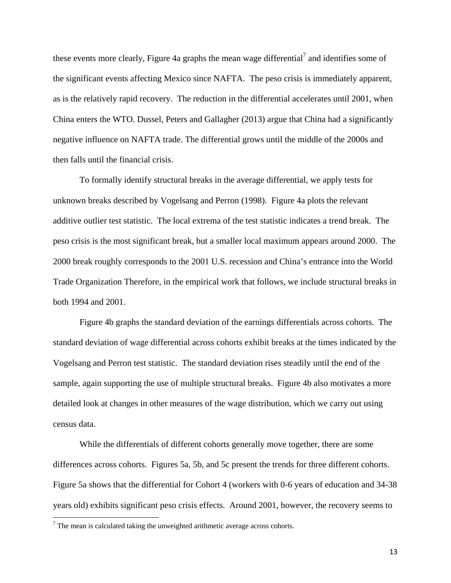these events more clearly, Figure 4a graphs the mean wage differential<sup>7</sup> and identifies some of the significant events affecting Mexico since NAFTA. The peso crisis is immediately apparent, as is the relatively rapid recovery. The reduction in the differential accelerates until 2001, when China enters the WTO. Dussel, Peters and Gallagher (2013) argue that China had a significantly negative influence on NAFTA trade. The differential grows until the middle of the 2000s and then falls until the financial crisis.

To formally identify structural breaks in the average differential, we apply tests for unknown breaks described by Vogelsang and Perron (1998). Figure 4a plots the relevant additive outlier test statistic. The local extrema of the test statistic indicates a trend break. The peso crisis is the most significant break, but a smaller local maximum appears around 2000. The 2000 break roughly corresponds to the 2001 U.S. recession and China's entrance into the World Trade Organization Therefore, in the empirical work that follows, we include structural breaks in both 1994 and 2001.

Figure 4b graphs the standard deviation of the earnings differentials across cohorts. The standard deviation of wage differential across cohorts exhibit breaks at the times indicated by the Vogelsang and Perron test statistic. The standard deviation rises steadily until the end of the sample, again supporting the use of multiple structural breaks. Figure 4b also motivates a more detailed look at changes in other measures of the wage distribution, which we carry out using census data.

While the differentials of different cohorts generally move together, there are some differences across cohorts. Figures 5a, 5b, and 5c present the trends for three different cohorts. Figure 5a shows that the differential for Cohort 4 (workers with 0-6 years of education and 34-38 years old) exhibits significant peso crisis effects. Around 2001, however, the recovery seems to

 $<sup>7</sup>$  The mean is calculated taking the unweighted arithmetic average across cohorts.</sup>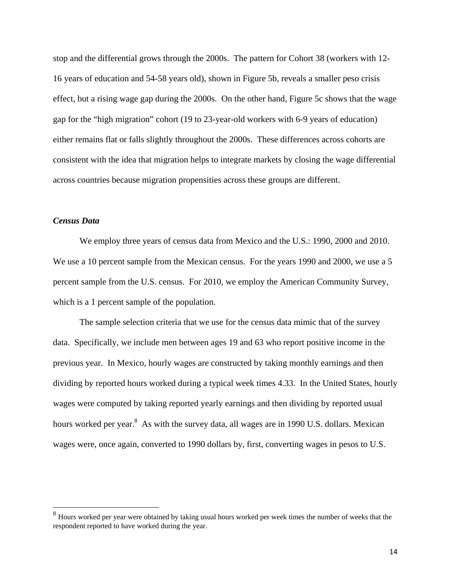stop and the differential grows through the 2000s. The pattern for Cohort 38 (workers with 12- 16 years of education and 54-58 years old), shown in Figure 5b, reveals a smaller peso crisis effect, but a rising wage gap during the 2000s. On the other hand, Figure 5c shows that the wage gap for the "high migration" cohort (19 to 23-year-old workers with 6-9 years of education) either remains flat or falls slightly throughout the 2000s. These differences across cohorts are consistent with the idea that migration helps to integrate markets by closing the wage differential across countries because migration propensities across these groups are different.

#### *Census Data*

We employ three years of census data from Mexico and the U.S.: 1990, 2000 and 2010. We use a 10 percent sample from the Mexican census. For the years 1990 and 2000, we use a 5 percent sample from the U.S. census. For 2010, we employ the American Community Survey, which is a 1 percent sample of the population.

The sample selection criteria that we use for the census data mimic that of the survey data. Specifically, we include men between ages 19 and 63 who report positive income in the previous year. In Mexico, hourly wages are constructed by taking monthly earnings and then dividing by reported hours worked during a typical week times 4.33. In the United States, hourly wages were computed by taking reported yearly earnings and then dividing by reported usual hours worked per year.<sup>8</sup> As with the survey data, all wages are in 1990 U.S. dollars. Mexican wages were, once again, converted to 1990 dollars by, first, converting wages in pesos to U.S.

 $8$  Hours worked per year were obtained by taking usual hours worked per week times the number of weeks that the respondent reported to have worked during the year.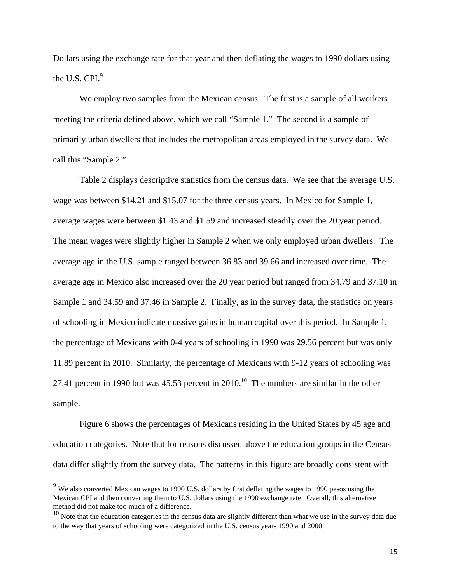Dollars using the exchange rate for that year and then deflating the wages to 1990 dollars using the U.S. CPI $^9$ 

We employ two samples from the Mexican census. The first is a sample of all workers meeting the criteria defined above, which we call "Sample 1." The second is a sample of primarily urban dwellers that includes the metropolitan areas employed in the survey data. We call this "Sample 2."

 Table 2 displays descriptive statistics from the census data. We see that the average U.S. wage was between \$14.21 and \$15.07 for the three census years. In Mexico for Sample 1, average wages were between \$1.43 and \$1.59 and increased steadily over the 20 year period. The mean wages were slightly higher in Sample 2 when we only employed urban dwellers. The average age in the U.S. sample ranged between 36.83 and 39.66 and increased over time. The average age in Mexico also increased over the 20 year period but ranged from 34.79 and 37.10 in Sample 1 and 34.59 and 37.46 in Sample 2. Finally, as in the survey data, the statistics on years of schooling in Mexico indicate massive gains in human capital over this period. In Sample 1, the percentage of Mexicans with 0-4 years of schooling in 1990 was 29.56 percent but was only 11.89 percent in 2010. Similarly, the percentage of Mexicans with 9-12 years of schooling was 27.41 percent in 1990 but was  $45.53$  percent in  $2010$ .<sup>10</sup> The numbers are similar in the other sample.

 Figure 6 shows the percentages of Mexicans residing in the United States by 45 age and education categories. Note that for reasons discussed above the education groups in the Census data differ slightly from the survey data. The patterns in this figure are broadly consistent with

 $9$  We also converted Mexican wages to 1990 U.S. dollars by first deflating the wages to 1990 pesos using the Mexican CPI and then converting them to U.S. dollars using the 1990 exchange rate. Overall, this alternative method did not make too much of a difference.

<sup>&</sup>lt;sup>10</sup> Note that the education categories in the census data are slightly different than what we use in the survey data due to the way that years of schooling were categorized in the U.S. census years 1990 and 2000.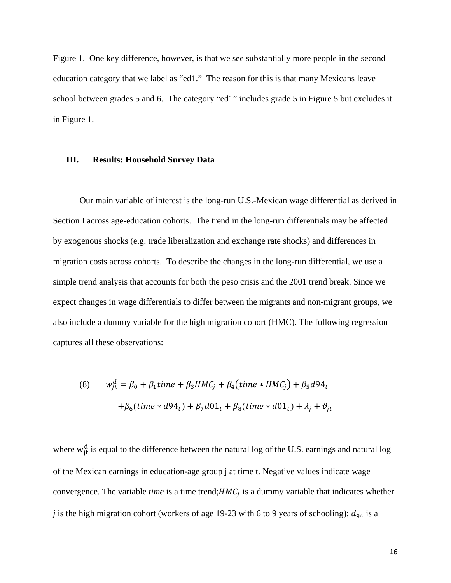Figure 1. One key difference, however, is that we see substantially more people in the second education category that we label as "ed1." The reason for this is that many Mexicans leave school between grades 5 and 6. The category "ed1" includes grade 5 in Figure 5 but excludes it in Figure 1.

#### **III. Results: Household Survey Data**

Our main variable of interest is the long-run U.S.-Mexican wage differential as derived in Section I across age-education cohorts. The trend in the long-run differentials may be affected by exogenous shocks (e.g. trade liberalization and exchange rate shocks) and differences in migration costs across cohorts. To describe the changes in the long-run differential, we use a simple trend analysis that accounts for both the peso crisis and the 2001 trend break. Since we expect changes in wage differentials to differ between the migrants and non-migrant groups, we also include a dummy variable for the high migration cohort (HMC). The following regression captures all these observations:

(8) 
$$
w_{jt}^d = \beta_0 + \beta_1 time + \beta_3 HMC_j + \beta_4 (time * HMC_j) + \beta_5 d94_t
$$

$$
+ \beta_6 (time * d94_t) + \beta_7 d01_t + \beta_8 (time * d01_t) + \lambda_j + \vartheta_{jt}
$$

where  $w_{jt}^d$  is equal to the difference between the natural log of the U.S. earnings and natural log of the Mexican earnings in education-age group j at time t. Negative values indicate wage convergence. The variable *time* is a time trend; $HMC<sub>i</sub>$  is a dummy variable that indicates whether *j* is the high migration cohort (workers of age 19-23 with 6 to 9 years of schooling);  $d_{94}$  is a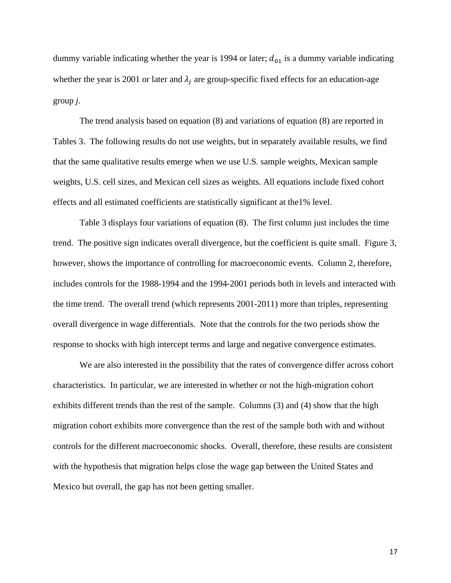dummy variable indicating whether the year is 1994 or later;  $d_{01}$  is a dummy variable indicating whether the year is 2001 or later and  $\lambda_i$  are group-specific fixed effects for an education-age group *j*.

The trend analysis based on equation (8) and variations of equation (8) are reported in Tables 3. The following results do not use weights, but in separately available results, we find that the same qualitative results emerge when we use U.S. sample weights, Mexican sample weights, U.S. cell sizes, and Mexican cell sizes as weights. All equations include fixed cohort effects and all estimated coefficients are statistically significant at the1% level.

Table 3 displays four variations of equation (8). The first column just includes the time trend. The positive sign indicates overall divergence, but the coefficient is quite small. Figure 3, however, shows the importance of controlling for macroeconomic events. Column 2, therefore, includes controls for the 1988-1994 and the 1994-2001 periods both in levels and interacted with the time trend. The overall trend (which represents 2001-2011) more than triples, representing overall divergence in wage differentials. Note that the controls for the two periods show the response to shocks with high intercept terms and large and negative convergence estimates.

We are also interested in the possibility that the rates of convergence differ across cohort characteristics. In particular, we are interested in whether or not the high-migration cohort exhibits different trends than the rest of the sample. Columns (3) and (4) show that the high migration cohort exhibits more convergence than the rest of the sample both with and without controls for the different macroeconomic shocks. Overall, therefore, these results are consistent with the hypothesis that migration helps close the wage gap between the United States and Mexico but overall, the gap has not been getting smaller.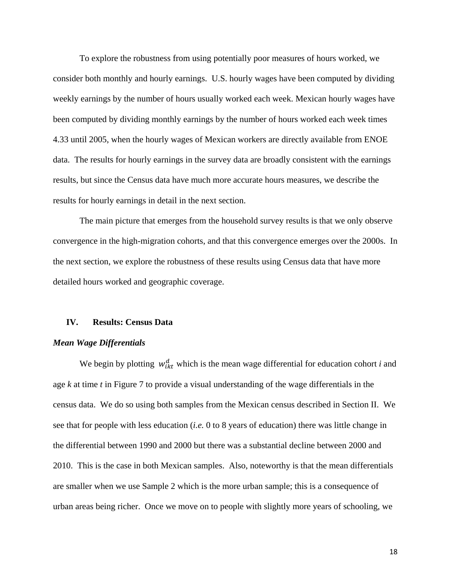To explore the robustness from using potentially poor measures of hours worked, we consider both monthly and hourly earnings. U.S. hourly wages have been computed by dividing weekly earnings by the number of hours usually worked each week. Mexican hourly wages have been computed by dividing monthly earnings by the number of hours worked each week times 4.33 until 2005, when the hourly wages of Mexican workers are directly available from ENOE data. The results for hourly earnings in the survey data are broadly consistent with the earnings results, but since the Census data have much more accurate hours measures, we describe the results for hourly earnings in detail in the next section.

The main picture that emerges from the household survey results is that we only observe convergence in the high-migration cohorts, and that this convergence emerges over the 2000s. In the next section, we explore the robustness of these results using Census data that have more detailed hours worked and geographic coverage.

#### **IV. Results: Census Data**

#### *Mean Wage Differentials*

We begin by plotting  $w_{ikt}^d$  which is the mean wage differential for education cohort *i* and age *k* at time *t* in Figure 7 to provide a visual understanding of the wage differentials in the census data. We do so using both samples from the Mexican census described in Section II. We see that for people with less education (*i.e.* 0 to 8 years of education) there was little change in the differential between 1990 and 2000 but there was a substantial decline between 2000 and 2010. This is the case in both Mexican samples. Also, noteworthy is that the mean differentials are smaller when we use Sample 2 which is the more urban sample; this is a consequence of urban areas being richer. Once we move on to people with slightly more years of schooling, we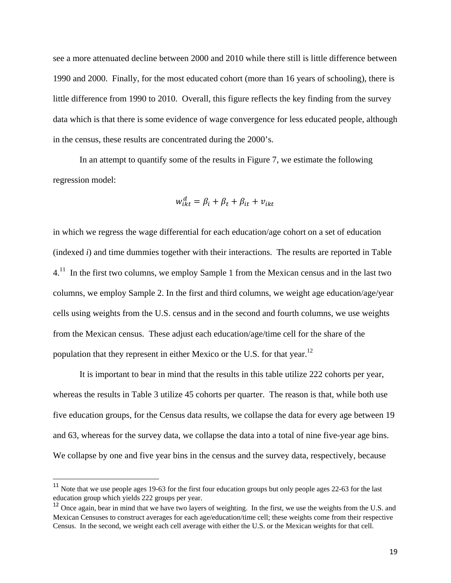see a more attenuated decline between 2000 and 2010 while there still is little difference between 1990 and 2000. Finally, for the most educated cohort (more than 16 years of schooling), there is little difference from 1990 to 2010. Overall, this figure reflects the key finding from the survey data which is that there is some evidence of wage convergence for less educated people, although in the census, these results are concentrated during the 2000's.

In an attempt to quantify some of the results in Figure 7, we estimate the following regression model:

$$
w_{ikt}^d = \beta_i + \beta_t + \beta_{it} + v_{ikt}
$$

in which we regress the wage differential for each education/age cohort on a set of education (indexed *i*) and time dummies together with their interactions. The results are reported in Table  $4<sup>11</sup>$  In the first two columns, we employ Sample 1 from the Mexican census and in the last two columns, we employ Sample 2. In the first and third columns, we weight age education/age/year cells using weights from the U.S. census and in the second and fourth columns, we use weights from the Mexican census. These adjust each education/age/time cell for the share of the population that they represent in either Mexico or the U.S. for that year.<sup>12</sup>

It is important to bear in mind that the results in this table utilize 222 cohorts per year, whereas the results in Table 3 utilize 45 cohorts per quarter. The reason is that, while both use five education groups, for the Census data results, we collapse the data for every age between 19 and 63, whereas for the survey data, we collapse the data into a total of nine five-year age bins. We collapse by one and five year bins in the census and the survey data, respectively, because

<sup>&</sup>lt;sup>11</sup> Note that we use people ages 19-63 for the first four education groups but only people ages 22-63 for the last education group which yields 222 groups per year.

<sup>&</sup>lt;sup>12</sup> Once again, bear in mind that we have two layers of weighting. In the first, we use the weights from the U.S. and Mexican Censuses to construct averages for each age/education/time cell; these weights come from their respective Census. In the second, we weight each cell average with either the U.S. or the Mexican weights for that cell.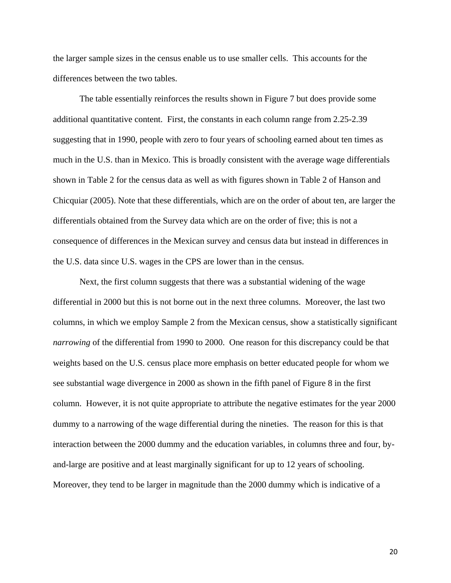the larger sample sizes in the census enable us to use smaller cells. This accounts for the differences between the two tables.

The table essentially reinforces the results shown in Figure 7 but does provide some additional quantitative content. First, the constants in each column range from 2.25-2.39 suggesting that in 1990, people with zero to four years of schooling earned about ten times as much in the U.S. than in Mexico. This is broadly consistent with the average wage differentials shown in Table 2 for the census data as well as with figures shown in Table 2 of Hanson and Chicquiar (2005). Note that these differentials, which are on the order of about ten, are larger the differentials obtained from the Survey data which are on the order of five; this is not a consequence of differences in the Mexican survey and census data but instead in differences in the U.S. data since U.S. wages in the CPS are lower than in the census.

Next, the first column suggests that there was a substantial widening of the wage differential in 2000 but this is not borne out in the next three columns. Moreover, the last two columns, in which we employ Sample 2 from the Mexican census, show a statistically significant *narrowing* of the differential from 1990 to 2000. One reason for this discrepancy could be that weights based on the U.S. census place more emphasis on better educated people for whom we see substantial wage divergence in 2000 as shown in the fifth panel of Figure 8 in the first column. However, it is not quite appropriate to attribute the negative estimates for the year 2000 dummy to a narrowing of the wage differential during the nineties. The reason for this is that interaction between the 2000 dummy and the education variables, in columns three and four, byand-large are positive and at least marginally significant for up to 12 years of schooling. Moreover, they tend to be larger in magnitude than the 2000 dummy which is indicative of a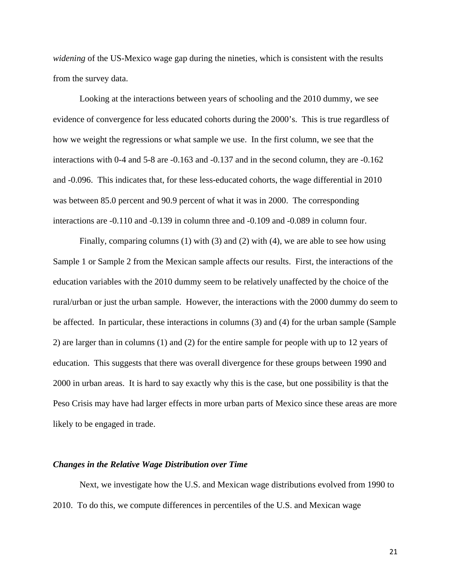*widening* of the US-Mexico wage gap during the nineties, which is consistent with the results from the survey data.

Looking at the interactions between years of schooling and the 2010 dummy, we see evidence of convergence for less educated cohorts during the 2000's. This is true regardless of how we weight the regressions or what sample we use. In the first column, we see that the interactions with 0-4 and 5-8 are -0.163 and -0.137 and in the second column, they are -0.162 and -0.096. This indicates that, for these less-educated cohorts, the wage differential in 2010 was between 85.0 percent and 90.9 percent of what it was in 2000. The corresponding interactions are -0.110 and -0.139 in column three and -0.109 and -0.089 in column four.

Finally, comparing columns (1) with (3) and (2) with (4), we are able to see how using Sample 1 or Sample 2 from the Mexican sample affects our results. First, the interactions of the education variables with the 2010 dummy seem to be relatively unaffected by the choice of the rural/urban or just the urban sample. However, the interactions with the 2000 dummy do seem to be affected. In particular, these interactions in columns (3) and (4) for the urban sample (Sample 2) are larger than in columns (1) and (2) for the entire sample for people with up to 12 years of education. This suggests that there was overall divergence for these groups between 1990 and 2000 in urban areas. It is hard to say exactly why this is the case, but one possibility is that the Peso Crisis may have had larger effects in more urban parts of Mexico since these areas are more likely to be engaged in trade.

#### *Changes in the Relative Wage Distribution over Time*

Next, we investigate how the U.S. and Mexican wage distributions evolved from 1990 to 2010. To do this, we compute differences in percentiles of the U.S. and Mexican wage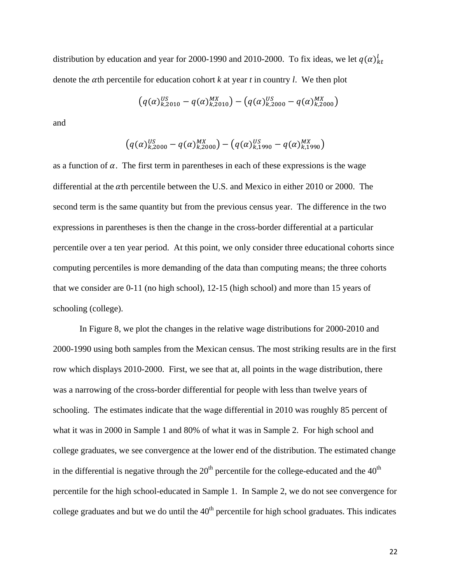distribution by education and year for 2000-1990 and 2010-2000. To fix ideas, we let  $q(\alpha)^l_{kt}$ denote the  $\alpha$ th percentile for education cohort  $k$  at year  $t$  in country  $l$ . We then plot

$$
(q(\alpha)_{k,2010}^{US} - q(\alpha)_{k,2010}^{MX}) - (q(\alpha)_{k,2000}^{US} - q(\alpha)_{k,2000}^{MX})
$$

and

$$
(q(\alpha)_{k,2000}^{US} - q(\alpha)_{k,2000}^{MX}) - (q(\alpha)_{k,1990}^{US} - q(\alpha)_{k,1990}^{MX})
$$

as a function of  $\alpha$ . The first term in parentheses in each of these expressions is the wage differential at the  $\alpha$ th percentile between the U.S. and Mexico in either 2010 or 2000. The second term is the same quantity but from the previous census year. The difference in the two expressions in parentheses is then the change in the cross-border differential at a particular percentile over a ten year period. At this point, we only consider three educational cohorts since computing percentiles is more demanding of the data than computing means; the three cohorts that we consider are 0-11 (no high school), 12-15 (high school) and more than 15 years of schooling (college).

In Figure 8, we plot the changes in the relative wage distributions for 2000-2010 and 2000-1990 using both samples from the Mexican census. The most striking results are in the first row which displays 2010-2000. First, we see that at, all points in the wage distribution, there was a narrowing of the cross-border differential for people with less than twelve years of schooling. The estimates indicate that the wage differential in 2010 was roughly 85 percent of what it was in 2000 in Sample 1 and 80% of what it was in Sample 2. For high school and college graduates, we see convergence at the lower end of the distribution. The estimated change in the differential is negative through the  $20<sup>th</sup>$  percentile for the college-educated and the  $40<sup>th</sup>$ percentile for the high school-educated in Sample 1. In Sample 2, we do not see convergence for college graduates and but we do until the  $40<sup>th</sup>$  percentile for high school graduates. This indicates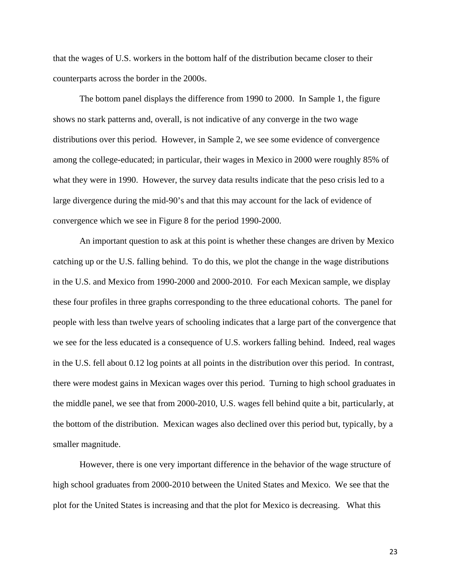that the wages of U.S. workers in the bottom half of the distribution became closer to their counterparts across the border in the 2000s.

The bottom panel displays the difference from 1990 to 2000. In Sample 1, the figure shows no stark patterns and, overall, is not indicative of any converge in the two wage distributions over this period. However, in Sample 2, we see some evidence of convergence among the college-educated; in particular, their wages in Mexico in 2000 were roughly 85% of what they were in 1990. However, the survey data results indicate that the peso crisis led to a large divergence during the mid-90's and that this may account for the lack of evidence of convergence which we see in Figure 8 for the period 1990-2000.

An important question to ask at this point is whether these changes are driven by Mexico catching up or the U.S. falling behind. To do this, we plot the change in the wage distributions in the U.S. and Mexico from 1990-2000 and 2000-2010. For each Mexican sample, we display these four profiles in three graphs corresponding to the three educational cohorts. The panel for people with less than twelve years of schooling indicates that a large part of the convergence that we see for the less educated is a consequence of U.S. workers falling behind. Indeed, real wages in the U.S. fell about 0.12 log points at all points in the distribution over this period. In contrast, there were modest gains in Mexican wages over this period. Turning to high school graduates in the middle panel, we see that from 2000-2010, U.S. wages fell behind quite a bit, particularly, at the bottom of the distribution. Mexican wages also declined over this period but, typically, by a smaller magnitude.

However, there is one very important difference in the behavior of the wage structure of high school graduates from 2000-2010 between the United States and Mexico. We see that the plot for the United States is increasing and that the plot for Mexico is decreasing. What this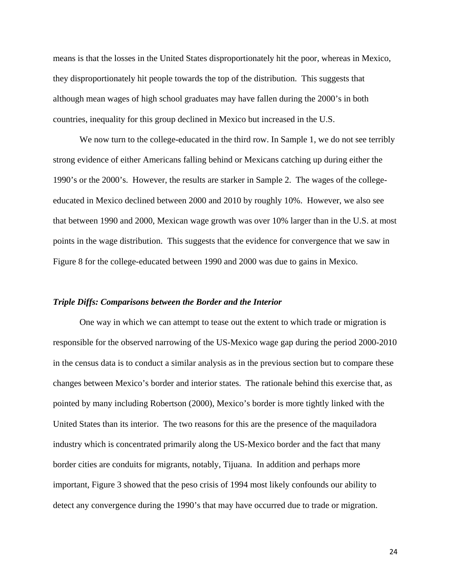means is that the losses in the United States disproportionately hit the poor, whereas in Mexico, they disproportionately hit people towards the top of the distribution. This suggests that although mean wages of high school graduates may have fallen during the 2000's in both countries, inequality for this group declined in Mexico but increased in the U.S.

We now turn to the college-educated in the third row. In Sample 1, we do not see terribly strong evidence of either Americans falling behind or Mexicans catching up during either the 1990's or the 2000's. However, the results are starker in Sample 2. The wages of the collegeeducated in Mexico declined between 2000 and 2010 by roughly 10%. However, we also see that between 1990 and 2000, Mexican wage growth was over 10% larger than in the U.S. at most points in the wage distribution. This suggests that the evidence for convergence that we saw in Figure 8 for the college-educated between 1990 and 2000 was due to gains in Mexico.

#### *Triple Diffs: Comparisons between the Border and the Interior*

 One way in which we can attempt to tease out the extent to which trade or migration is responsible for the observed narrowing of the US-Mexico wage gap during the period 2000-2010 in the census data is to conduct a similar analysis as in the previous section but to compare these changes between Mexico's border and interior states. The rationale behind this exercise that, as pointed by many including Robertson (2000), Mexico's border is more tightly linked with the United States than its interior. The two reasons for this are the presence of the maquiladora industry which is concentrated primarily along the US-Mexico border and the fact that many border cities are conduits for migrants, notably, Tijuana. In addition and perhaps more important, Figure 3 showed that the peso crisis of 1994 most likely confounds our ability to detect any convergence during the 1990's that may have occurred due to trade or migration.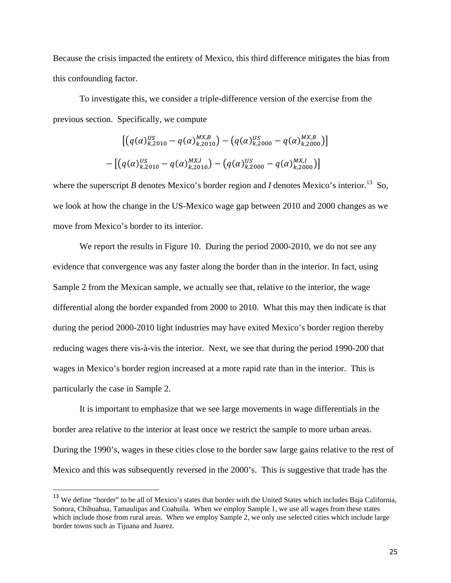Because the crisis impacted the entirety of Mexico, this third difference mitigates the bias from this confounding factor.

To investigate this, we consider a triple-difference version of the exercise from the previous section. Specifically, we compute

$$
\begin{aligned} & \left[ \left( q(\alpha)_{k,2010}^{US} - q(\alpha)_{k,2010}^{MX,B} \right) - \left( q(\alpha)_{k,2000}^{US} - q(\alpha)_{k,2000}^{MX,B} \right) \right] \\ &- \left[ \left( q(\alpha)_{k,2010}^{US} - q(\alpha)_{k,2010}^{MX,I} \right) - \left( q(\alpha)_{k,2000}^{US} - q(\alpha)_{k,2000}^{MX,I} \right) \right] \end{aligned}
$$

where the superscript *B* denotes Mexico's border region and *I* denotes Mexico's interior.<sup>13</sup> So, we look at how the change in the US-Mexico wage gap between 2010 and 2000 changes as we move from Mexico's border to its interior.

We report the results in Figure 10. During the period 2000-2010, we do not see any evidence that convergence was any faster along the border than in the interior. In fact, using Sample 2 from the Mexican sample, we actually see that, relative to the interior, the wage differential along the border expanded from 2000 to 2010. What this may then indicate is that during the period 2000-2010 light industries may have exited Mexico's border region thereby reducing wages there vis-à-vis the interior. Next, we see that during the period 1990-200 that wages in Mexico's border region increased at a more rapid rate than in the interior. This is particularly the case in Sample 2.

It is important to emphasize that we see large movements in wage differentials in the border area relative to the interior at least once we restrict the sample to more urban areas. During the 1990's, wages in these cities close to the border saw large gains relative to the rest of Mexico and this was subsequently reversed in the 2000's. This is suggestive that trade has the

<sup>&</sup>lt;sup>13</sup> We define "border" to be all of Mexico's states that border with the United States which includes Baja California, Sonora, Chihuahua, Tamaulipas and Coahuila. When we employ Sample 1, we use all wages from these states which include those from rural areas. When we employ Sample 2, we only use selected cities which include large border towns such as Tijuana and Juarez.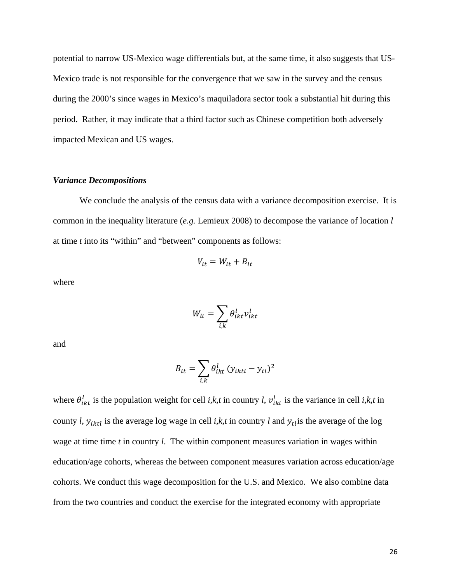potential to narrow US-Mexico wage differentials but, at the same time, it also suggests that US-Mexico trade is not responsible for the convergence that we saw in the survey and the census during the 2000's since wages in Mexico's maquiladora sector took a substantial hit during this period. Rather, it may indicate that a third factor such as Chinese competition both adversely impacted Mexican and US wages.

#### *Variance Decompositions*

We conclude the analysis of the census data with a variance decomposition exercise. It is common in the inequality literature (*e.g.* Lemieux 2008) to decompose the variance of location *l* at time *t* into its "within" and "between" components as follows:

$$
V_{lt} = W_{lt} + B_{lt}
$$

where

$$
W_{lt} = \sum_{i,k} \theta_{ikt}^l v_{ikt}^l
$$

and

$$
B_{lt} = \sum_{i,k} \theta_{ikt}^{l} (y_{iktl} - y_{tl})^2
$$

where  $\theta_{ikt}^l$  is the population weight for cell *i,k,t* in country *l*,  $v_{ikt}^l$  is the variance in cell *i,k,t* in county *l*,  $y_{iktl}$  is the average log wage in cell *i,k,t* in country *l* and  $y_{tl}$  is the average of the log wage at time time *t* in country *l*. The within component measures variation in wages within education/age cohorts, whereas the between component measures variation across education/age cohorts. We conduct this wage decomposition for the U.S. and Mexico. We also combine data from the two countries and conduct the exercise for the integrated economy with appropriate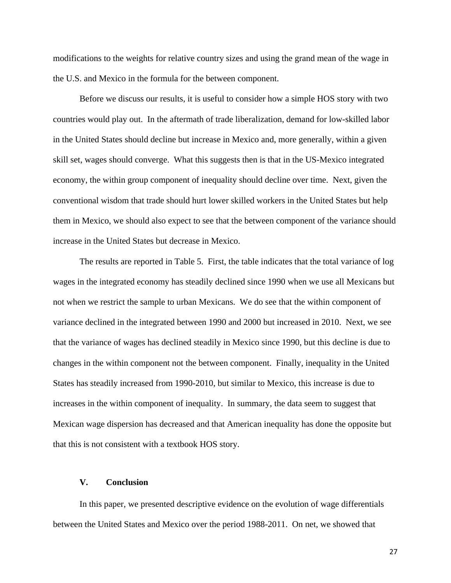modifications to the weights for relative country sizes and using the grand mean of the wage in the U.S. and Mexico in the formula for the between component.

Before we discuss our results, it is useful to consider how a simple HOS story with two countries would play out. In the aftermath of trade liberalization, demand for low-skilled labor in the United States should decline but increase in Mexico and, more generally, within a given skill set, wages should converge. What this suggests then is that in the US-Mexico integrated economy, the within group component of inequality should decline over time. Next, given the conventional wisdom that trade should hurt lower skilled workers in the United States but help them in Mexico, we should also expect to see that the between component of the variance should increase in the United States but decrease in Mexico.

The results are reported in Table 5. First, the table indicates that the total variance of log wages in the integrated economy has steadily declined since 1990 when we use all Mexicans but not when we restrict the sample to urban Mexicans. We do see that the within component of variance declined in the integrated between 1990 and 2000 but increased in 2010. Next, we see that the variance of wages has declined steadily in Mexico since 1990, but this decline is due to changes in the within component not the between component. Finally, inequality in the United States has steadily increased from 1990-2010, but similar to Mexico, this increase is due to increases in the within component of inequality. In summary, the data seem to suggest that Mexican wage dispersion has decreased and that American inequality has done the opposite but that this is not consistent with a textbook HOS story.

#### **V. Conclusion**

In this paper, we presented descriptive evidence on the evolution of wage differentials between the United States and Mexico over the period 1988-2011. On net, we showed that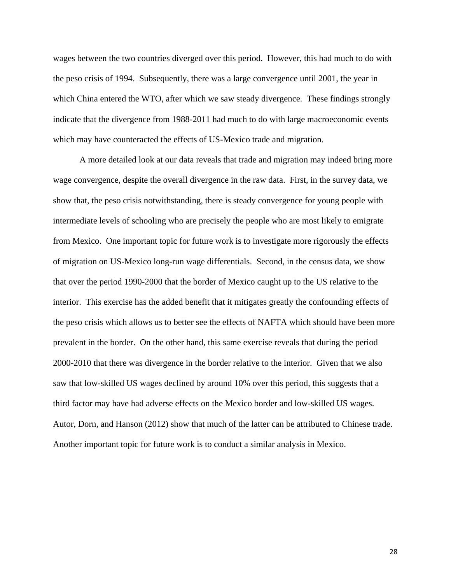wages between the two countries diverged over this period. However, this had much to do with the peso crisis of 1994. Subsequently, there was a large convergence until 2001, the year in which China entered the WTO, after which we saw steady divergence. These findings strongly indicate that the divergence from 1988-2011 had much to do with large macroeconomic events which may have counteracted the effects of US-Mexico trade and migration.

A more detailed look at our data reveals that trade and migration may indeed bring more wage convergence, despite the overall divergence in the raw data. First, in the survey data, we show that, the peso crisis notwithstanding, there is steady convergence for young people with intermediate levels of schooling who are precisely the people who are most likely to emigrate from Mexico. One important topic for future work is to investigate more rigorously the effects of migration on US-Mexico long-run wage differentials. Second, in the census data, we show that over the period 1990-2000 that the border of Mexico caught up to the US relative to the interior. This exercise has the added benefit that it mitigates greatly the confounding effects of the peso crisis which allows us to better see the effects of NAFTA which should have been more prevalent in the border. On the other hand, this same exercise reveals that during the period 2000-2010 that there was divergence in the border relative to the interior. Given that we also saw that low-skilled US wages declined by around 10% over this period, this suggests that a third factor may have had adverse effects on the Mexico border and low-skilled US wages. Autor, Dorn, and Hanson (2012) show that much of the latter can be attributed to Chinese trade. Another important topic for future work is to conduct a similar analysis in Mexico.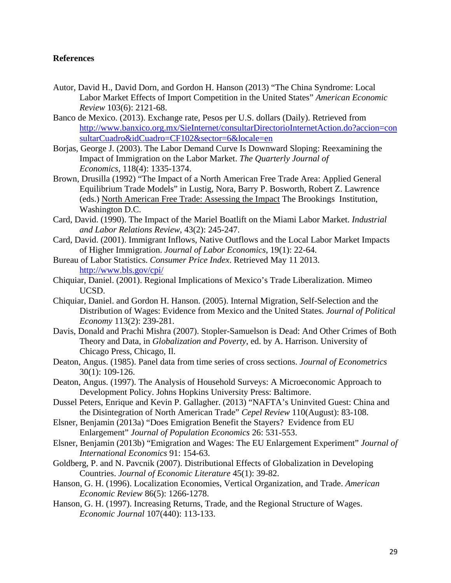#### **References**

- Autor, David H., David Dorn, and Gordon H. Hanson (2013) "The China Syndrome: Local Labor Market Effects of Import Competition in the United States" *American Economic Review* 103(6): 2121-68.
- Banco de Mexico. (2013). Exchange rate, Pesos per U.S. dollars (Daily). Retrieved from http://www.banxico.org.mx/SieInternet/consultarDirectorioInternetAction.do?accion=con sultarCuadro&idCuadro=CF102&sector=6&locale=en
- Borjas, George J. (2003). The Labor Demand Curve Is Downward Sloping: Reexamining the Impact of Immigration on the Labor Market. *The Quarterly Journal of Economics,* 118(4): 1335-1374.
- Brown, Drusilla (1992) "The Impact of a North American Free Trade Area: Applied General Equilibrium Trade Models" in Lustig, Nora, Barry P. Bosworth, Robert Z. Lawrence (eds.) North American Free Trade: Assessing the Impact The Brookings Institution, Washington D.C.
- Card, David. (1990). The Impact of the Mariel Boatlift on the Miami Labor Market. *Industrial and Labor Relations Review*, 43(2): 245-247.
- Card, David. (2001). Immigrant Inflows, Native Outflows and the Local Labor Market Impacts of Higher Immigration. *Journal of Labor Economics*, 19(1): 22-64.
- Bureau of Labor Statistics. *Consumer Price Index*. Retrieved May 11 2013. http://www.bls.gov/cpi/
- Chiquiar, Daniel. (2001). Regional Implications of Mexico's Trade Liberalization. Mimeo UCSD.
- Chiquiar, Daniel. and Gordon H. Hanson. (2005). Internal Migration, Self-Selection and the Distribution of Wages: Evidence from Mexico and the United States. *Journal of Political Economy* 113(2): 239-281.
- Davis, Donald and Prachi Mishra (2007). Stopler-Samuelson is Dead: And Other Crimes of Both Theory and Data, in *Globalization and Poverty*, ed. by A. Harrison. University of Chicago Press, Chicago, Il.
- Deaton, Angus. (1985). Panel data from time series of cross sections. *Journal of Econometrics* 30(1): 109-126.
- Deaton, Angus. (1997). The Analysis of Household Surveys: A Microeconomic Approach to Development Policy. Johns Hopkins University Press: Baltimore.
- Dussel Peters, Enrique and Kevin P. Gallagher. (2013) "NAFTA's Uninvited Guest: China and the Disintegration of North American Trade" *Cepel Review* 110(August): 83-108.
- Elsner, Benjamin (2013a) "Does Emigration Benefit the Stayers? Evidence from EU Enlargement" *Journal of Population Economics* 26: 531-553.
- Elsner, Benjamin (2013b) "Emigration and Wages: The EU Enlargement Experiment" *Journal of International Economics* 91: 154-63.
- Goldberg, P. and N. Pavcnik (2007). Distributional Effects of Globalization in Developing Countries. *Journal of Economic Literature* 45(1): 39-82.
- Hanson, G. H. (1996). Localization Economies, Vertical Organization, and Trade. *American Economic Review* 86(5): 1266-1278.
- Hanson, G. H. (1997). Increasing Returns, Trade, and the Regional Structure of Wages. *Economic Journal* 107(440): 113-133.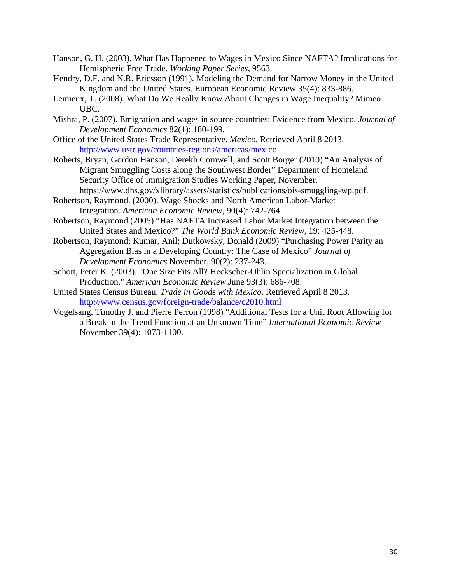- Hanson, G. H. (2003). What Has Happened to Wages in Mexico Since NAFTA? Implications for Hemispheric Free Trade. *Working Paper Series,* 9563.
- Hendry, D.F. and N.R. Ericsson (1991). Modeling the Demand for Narrow Money in the United Kingdom and the United States. European Economic Review 35(4): 833-886.
- Lemieux, T. (2008). What Do We Really Know About Changes in Wage Inequality? Mimeo UBC.
- Mishra, P. (2007). Emigration and wages in source countries: Evidence from Mexico. *Journal of Development Economics* 82(1): 180-199.
- Office of the United States Trade Representative. *Mexico*. Retrieved April 8 2013. http://www.ustr.gov/countries-regions/americas/mexico
- Roberts, Bryan, Gordon Hanson, Derekh Cornwell, and Scott Borger (2010) "An Analysis of Migrant Smuggling Costs along the Southwest Border" Department of Homeland Security Office of Immigration Studies Working Paper, November. https://www.dhs.gov/xlibrary/assets/statistics/publications/ois-smuggling-wp.pdf.
- Robertson, Raymond. (2000). Wage Shocks and North American Labor-Market Integration. *American Economic Review,* 90(4): 742-764.
- Robertson, Raymond (2005) "Has NAFTA Increased Labor Market Integration between the United States and Mexico?" *The World Bank Economic Review,* 19: 425-448.
- Robertson, Raymond; Kumar, Anil; Dutkowsky, Donald (2009) "Purchasing Power Parity an Aggregation Bias in a Developing Country: The Case of Mexico" *Journal of Development Economics* November, 90(2): 237-243.
- Schott, Peter K. (2003). "One Size Fits All? Heckscher-Ohlin Specialization in Global Production," *American Economic Review* June 93(3): 686-708.
- United States Census Bureau. *Trade in Goods with Mexico*. Retrieved April 8 2013. http://www.census.gov/foreign-trade/balance/c2010.html
- Vogelsang, Timothy J. and Pierre Perron (1998) "Additional Tests for a Unit Root Allowing for a Break in the Trend Function at an Unknown Time" *International Economic Review* November 39(4): 1073-1100.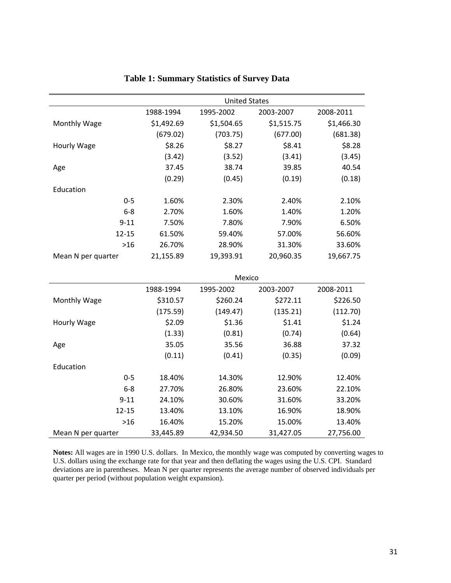|                    | <b>United States</b> |            |            |            |
|--------------------|----------------------|------------|------------|------------|
|                    | 1988-1994            | 1995-2002  | 2003-2007  | 2008-2011  |
| Monthly Wage       | \$1,492.69           | \$1,504.65 | \$1,515.75 | \$1,466.30 |
|                    | (679.02)             | (703.75)   | (677.00)   | (681.38)   |
| Hourly Wage        | \$8.26               | \$8.27     | \$8.41     | \$8.28     |
|                    | (3.42)               | (3.52)     | (3.41)     | (3.45)     |
| Age                | 37.45                | 38.74      | 39.85      | 40.54      |
|                    | (0.29)               | (0.45)     | (0.19)     | (0.18)     |
| Education          |                      |            |            |            |
| $0 - 5$            | 1.60%                | 2.30%      | 2.40%      | 2.10%      |
| $6-8$              | 2.70%                | 1.60%      | 1.40%      | 1.20%      |
| $9 - 11$           | 7.50%                | 7.80%      | 7.90%      | 6.50%      |
| $12 - 15$          | 61.50%               | 59.40%     | 57.00%     | 56.60%     |
| $>16$              | 26.70%               | 28.90%     | 31.30%     | 33.60%     |
| Mean N per quarter | 21,155.89            | 19,393.91  | 20,960.35  | 19,667.75  |
|                    |                      |            |            |            |
|                    | Mexico               |            |            |            |
|                    | 1988-1994            | 1995-2002  | 2003-2007  | 2008-2011  |
| Monthly Wage       | \$310.57             | \$260.24   | \$272.11   | \$226.50   |
|                    | (175.59)             | (149.47)   | (135.21)   | (112.70)   |
| Hourly Wage        | \$2.09               | \$1.36     | \$1.41     | \$1.24     |
|                    | (1.33)               | (0.81)     | (0.74)     | (0.64)     |
| Age                | 35.05                | 35.56      | 36.88      | 37.32      |
|                    | (0.11)               | (0.41)     | (0.35)     | (0.09)     |
| Education          |                      |            |            |            |

### **Table 1: Summary Statistics of Survey Data**

**Notes:** All wages are in 1990 U.S. dollars. In Mexico, the monthly wage was computed by converting wages to U.S. dollars using the exchange rate for that year and then deflating the wages using the U.S. CPI. Standard deviations are in parentheses. Mean N per quarter represents the average number of observed individuals per quarter per period (without population weight expansion).

Mean N per quarter  $33,445.89$   $42,934.50$   $31,427.05$   $27,756.00$ 

‐5 18.40% 14.30% 12.90% 12.40% ‐8 27.70% 26.80% 23.60% 22.10% ‐11 24.10% 30.60% 31.60% 33.20% ‐15 13.40% 13.10% 16.90% 18.90% >16 16.40% 15.20% 15.00% 13.40%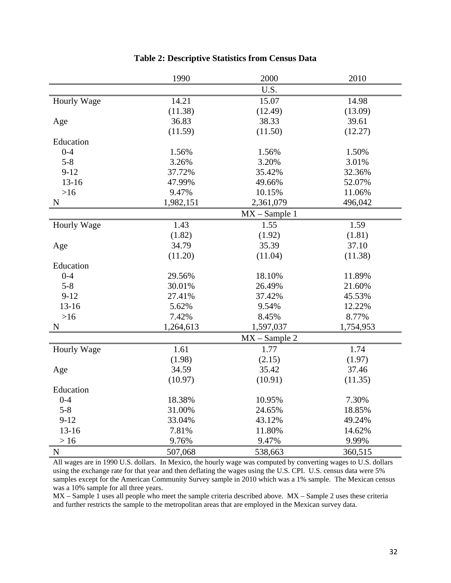|             | 1990      | 2000             | 2010      |
|-------------|-----------|------------------|-----------|
|             |           | U.S.             |           |
| Hourly Wage | 14.21     | 15.07            | 14.98     |
|             | (11.38)   | (12.49)          | (13.09)   |
| Age         | 36.83     | 38.33            | 39.61     |
|             | (11.59)   | (11.50)          | (12.27)   |
| Education   |           |                  |           |
| $0 - 4$     | 1.56%     | 1.56%            | 1.50%     |
| $5 - 8$     | 3.26%     | 3.20%            | 3.01%     |
| $9 - 12$    | 37.72%    | 35.42%           | 32.36%    |
| $13 - 16$   | 47.99%    | 49.66%           | 52.07%    |
| $>16$       | 9.47%     | 10.15%           | 11.06%    |
| $\mathbf N$ | 1,982,151 | 2,361,079        | 496,042   |
|             |           | $MX - Sample 1$  |           |
| Hourly Wage | 1.43      | 1.55             | 1.59      |
|             | (1.82)    | (1.92)           | (1.81)    |
| Age         | 34.79     | 35.39            | 37.10     |
|             | (11.20)   | (11.04)          | (11.38)   |
| Education   |           |                  |           |
| $0 - 4$     | 29.56%    | 18.10%           | 11.89%    |
| $5 - 8$     | 30.01%    | 26.49%           | 21.60%    |
| $9-12$      | 27.41%    | 37.42%           | 45.53%    |
| 13-16       | 5.62%     | 9.54%            | 12.22%    |
| $>16$       | 7.42%     | 8.45%            | 8.77%     |
| N           | 1,264,613 | 1,597,037        | 1,754,953 |
|             |           | $MX - Sample 2$  |           |
| Hourly Wage | 1.61      | 1.77             | 1.74      |
|             | (1.98)    | (2.15)           | (1.97)    |
| Age         | 34.59     | 35.42            | 37.46     |
|             | (10.97)   | (10.91)          | (11.35)   |
| Education   |           |                  |           |
| $0 - 4$     | 18.38%    | 10.95%           | 7.30%     |
| $5 - 8$     | 31.00%    | 24.65%<br>18.85% |           |
| $9 - 12$    | 33.04%    | 43.12%           | 49.24%    |
| $13 - 16$   | 7.81%     | 11.80%           | 14.62%    |
| $>16$       | 9.76%     | 9.47%            | 9.99%     |
| $\mathbf N$ | 507,068   | 538,663          | 360,515   |

### **Table 2: Descriptive Statistics from Census Data**

All wages are in 1990 U.S. dollars. In Mexico, the hourly wage was computed by converting wages to U.S. dollars using the exchange rate for that year and then deflating the wages using the U.S. CPI. U.S. census data were 5% samples except for the American Community Survey sample in 2010 which was a 1% sample. The Mexican census was a 10% sample for all three years.

MX – Sample 1 uses all people who meet the sample criteria described above. MX – Sample 2 uses these criteria and further restricts the sample to the metropolitan areas that are employed in the Mexican survey data.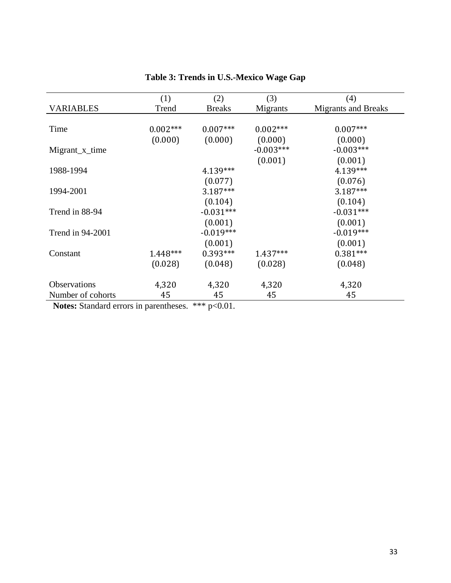| (1)        | (2)           | (3)                                | (4)                        |
|------------|---------------|------------------------------------|----------------------------|
| Trend      | <b>Breaks</b> | Migrants                           | <b>Migrants and Breaks</b> |
|            |               |                                    |                            |
| $0.002***$ | $0.007***$    | $0.002***$                         | $0.007***$                 |
| (0.000)    | (0.000)       | (0.000)                            | (0.000)                    |
|            |               | $-0.003***$                        | $-0.003***$                |
|            |               | (0.001)                            | (0.001)                    |
|            | 4.139***      |                                    | 4.139***                   |
|            | (0.077)       |                                    | (0.076)                    |
|            | $3.187***$    |                                    | 3.187***                   |
|            | (0.104)       |                                    | (0.104)                    |
|            | $-0.031***$   |                                    | $-0.031***$                |
|            | (0.001)       |                                    | (0.001)                    |
|            | $-0.019***$   |                                    | $-0.019***$                |
|            | (0.001)       |                                    | (0.001)                    |
| 1.448***   | $0.393***$    | $1.437***$                         | $0.381***$                 |
| (0.028)    | (0.048)       | (0.028)                            | (0.048)                    |
|            |               |                                    |                            |
| 4,320      | 4,320         | 4,320                              | 4,320                      |
| 45         | 45            | 45                                 | 45                         |
|            |               | 1.1.1.1.1.<br>$\sim$ $\sim$ $\sim$ |                            |

### **Table 3: Trends in U.S.-Mexico Wage Gap**

Notes: Standard errors in parentheses. \*\*\* p<0.01.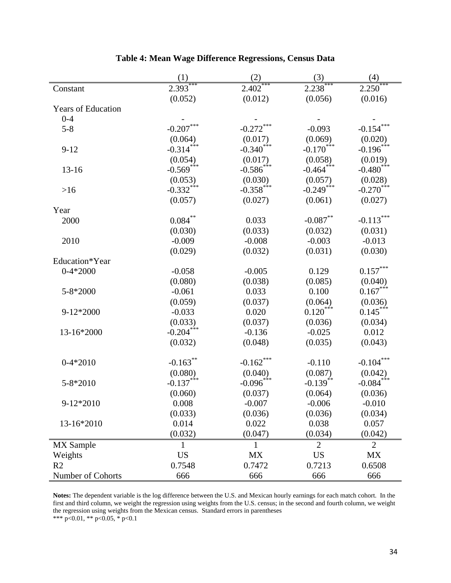|                           | (1)                    | (2)                    | (3)                               | (4)                     |
|---------------------------|------------------------|------------------------|-----------------------------------|-------------------------|
| Constant                  | $2.393***$             | 2.402                  | $2.238***$                        | 2.250                   |
|                           | (0.052)                | (0.012)                | (0.056)                           | (0.016)                 |
| <b>Years of Education</b> |                        |                        |                                   |                         |
| $0 - 4$                   |                        |                        |                                   |                         |
| $5 - 8$                   | $-0.207***$            | $-0.272***$            | $-0.093$                          | $-0.154$                |
|                           | (0.064)                | (0.017)                | (0.069)                           | (0.020)                 |
| $9 - 12$                  | $-0.314***$            | $-0.340$ ***           | $-0.170$ <sup>***</sup>           | $-0.196***$             |
|                           | (0.054)                | (0.017)                | (0.058)                           | (0.019)                 |
| $13 - 16$                 | $-0.569***$            | $-0.586$ ***           | $-0.464***$                       | $-0.480$ <sup>***</sup> |
|                           | (0.053)                | (0.030)                | (0.057)                           | (0.028)                 |
| $>16$                     | $-0.332***$            | $-0.358$ ***           | $-0.249$ <sup>***</sup>           | $-0.270$ <sup>***</sup> |
|                           | (0.057)                | (0.027)                | (0.061)                           | (0.027)                 |
| Year                      |                        |                        |                                   |                         |
| 2000                      | $0.084\sp{**}$         | 0.033                  | $-0.087**$                        | $-0.113***$             |
|                           | (0.030)                | (0.033)                | (0.032)                           | (0.031)                 |
| 2010                      | $-0.009$               | $-0.008$               | $-0.003$                          | $-0.013$                |
|                           | (0.029)                | (0.032)                | (0.031)                           | (0.030)                 |
| Education*Year            |                        |                        |                                   |                         |
| $0-4*2000$                | $-0.058$               | $-0.005$               | 0.129                             | $0.157^{\ast\ast\ast}$  |
|                           | (0.080)                | (0.038)                | (0.085)                           | (0.040)                 |
| 5-8*2000                  | $-0.061$               | 0.033                  | 0.100                             | $0.167***$              |
|                           | (0.059)                | (0.037)                | (0.064)                           | (0.036)                 |
| 9-12*2000                 | $-0.033$               | 0.020                  | $0.120***$                        | $0.145***$              |
|                           | (0.033)                | (0.037)                | (0.036)                           | (0.034)                 |
| 13-16*2000                | $-0.204***$            | $-0.136$               | $-0.025$                          | 0.012                   |
|                           | (0.032)                | (0.048)                | (0.035)                           | (0.043)                 |
| $0-4*2010$                |                        | $-0.162$ ***           |                                   | $-0.104***$             |
|                           | $-0.163***$            |                        | $-0.110$                          |                         |
| 5-8*2010                  | (0.080)<br>$-0.137***$ | $(0.040)$<br>-0.096*** | (0.087)<br>$-0.139$ <sup>**</sup> | (0.042)<br>$-0.084***$  |
|                           | (0.060)                | (0.037)                | (0.064)                           | (0.036)                 |
| 9-12*2010                 | 0.008                  | $-0.007$               | $-0.006$                          | $-0.010$                |
|                           | (0.033)                | (0.036)                | (0.036)                           | (0.034)                 |
| 13-16*2010                | 0.014                  | 0.022                  | 0.038                             | 0.057                   |
|                           | (0.032)                | (0.047)                | (0.034)                           | (0.042)                 |
|                           |                        |                        | $\overline{2}$                    | $\overline{2}$          |
| MX Sample                 | 1                      | 1                      |                                   |                         |
| Weights<br>R <sub>2</sub> | <b>US</b><br>0.7548    | MX                     | <b>US</b>                         | <b>MX</b>               |
| Number of Cohorts         | 666                    | 0.7472<br>666          | 0.7213<br>666                     | 0.6508<br>666           |
|                           |                        |                        |                                   |                         |

### **Table 4: Mean Wage Difference Regressions, Census Data**

**Notes:** The dependent variable is the log difference between the U.S. and Mexican hourly earnings for each match cohort. In the first and third column, we weight the regression using weights from the U.S. census; in the second and fourth column, we weight the regression using weights from the Mexican census. Standard errors in parentheses

\*\*\* p<0.01, \*\* p<0.05, \* p<0.1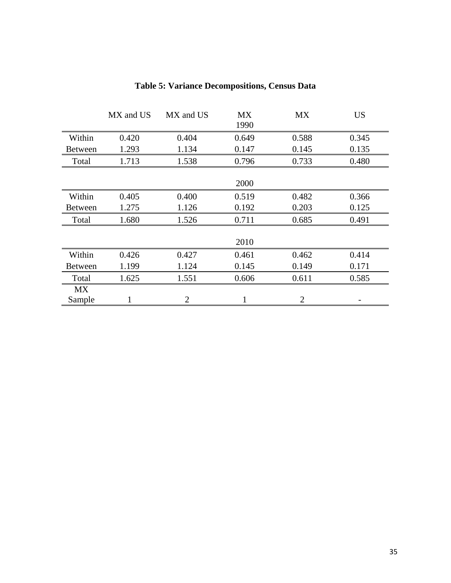|                | MX and US | MX and US      | <b>MX</b><br>1990 | <b>MX</b> | <b>US</b> |
|----------------|-----------|----------------|-------------------|-----------|-----------|
| Within         | 0.420     | 0.404          | 0.649             | 0.588     | 0.345     |
| <b>Between</b> | 1.293     | 1.134          | 0.147             | 0.145     | 0.135     |
| Total          | 1.713     | 1.538          | 0.796             | 0.733     | 0.480     |
|                |           |                |                   |           |           |
|                |           |                | 2000              |           |           |
| Within         | 0.405     | 0.400          | 0.519             | 0.482     | 0.366     |
| <b>Between</b> | 1.275     | 1.126          | 0.192             | 0.203     | 0.125     |
| Total          | 1.680     | 1.526          | 0.711             | 0.685     | 0.491     |
|                |           |                |                   |           |           |
|                |           |                | 2010              |           |           |
| Within         | 0.426     | 0.427          | 0.461             | 0.462     | 0.414     |
| <b>Between</b> | 1.199     | 1.124          | 0.145             | 0.149     | 0.171     |
| Total          | 1.625     | 1.551          | 0.606             | 0.611     | 0.585     |
| <b>MX</b>      |           |                |                   |           |           |
| Sample         | 1         | $\overline{2}$ | 1                 | 2         |           |

### **Table 5: Variance Decompositions, Census Data**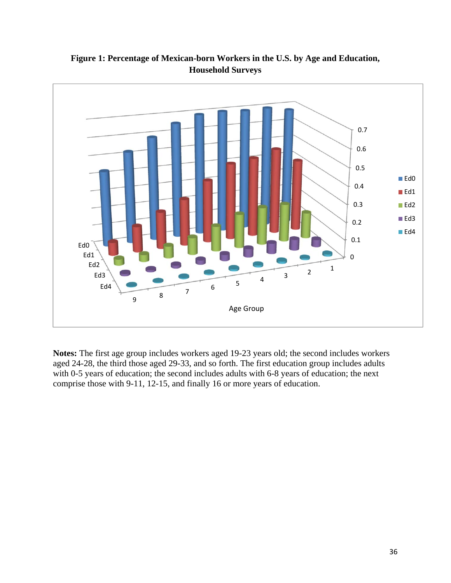

**Figure 1: Percentage of Mexican-born Workers in the U.S. by Age and Education, Household Surveys** 

**Notes:** The first age group includes workers aged 19-23 years old; the second includes workers aged 24-28, the third those aged 29-33, and so forth. The first education group includes adults with 0-5 years of education; the second includes adults with 6-8 years of education; the next comprise those with 9-11, 12-15, and finally 16 or more years of education.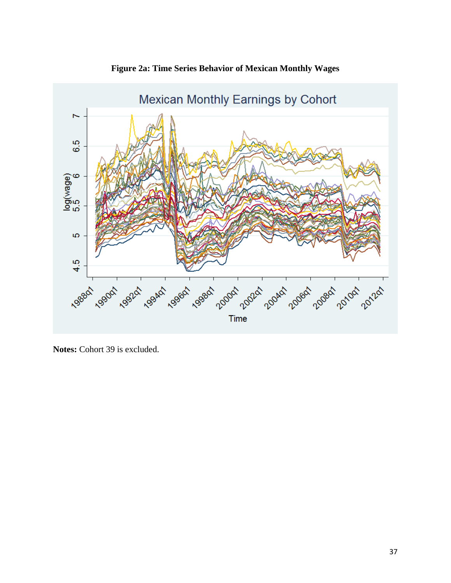

**Figure 2a: Time Series Behavior of Mexican Monthly Wages** 

**Notes:** Cohort 39 is excluded.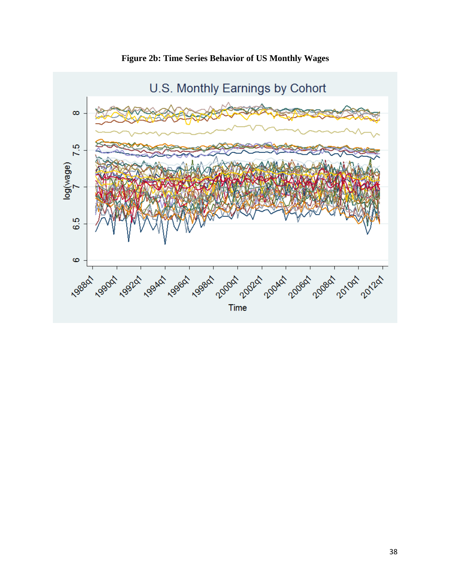

**Figure 2b: Time Series Behavior of US Monthly Wages**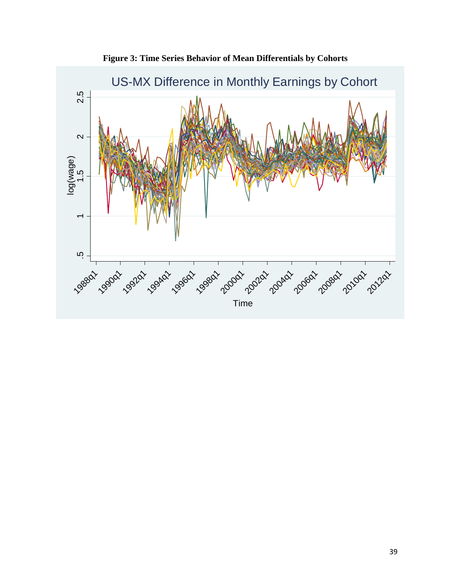

**Figure 3: Time Series Behavior of Mean Differentials by Cohorts**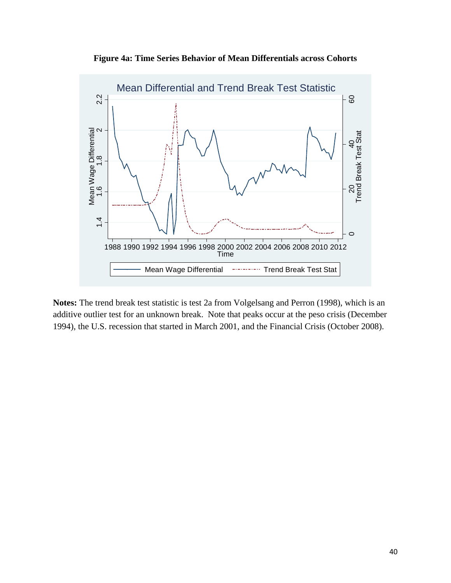**Figure 4a: Time Series Behavior of Mean Differentials across Cohorts** 



**Notes:** The trend break test statistic is test 2a from Volgelsang and Perron (1998), which is an additive outlier test for an unknown break. Note that peaks occur at the peso crisis (December 1994), the U.S. recession that started in March 2001, and the Financial Crisis (October 2008).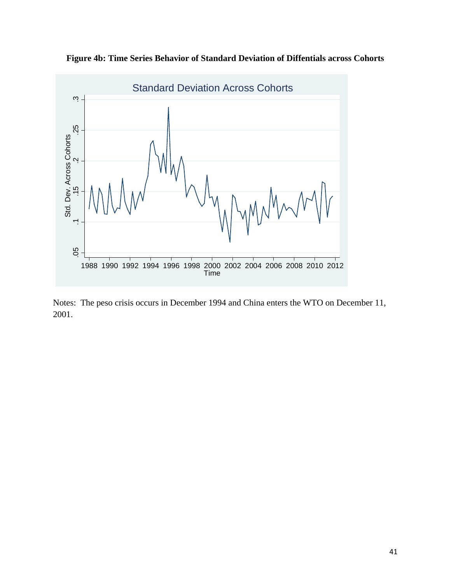

**Figure 4b: Time Series Behavior of Standard Deviation of Diffentials across Cohorts** 

Notes: The peso crisis occurs in December 1994 and China enters the WTO on December 11, 2001.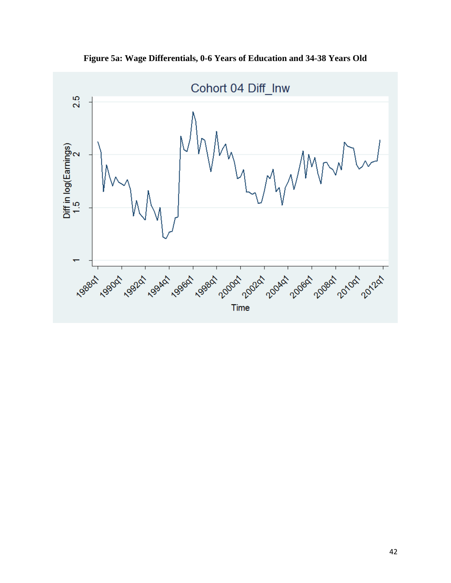

**Figure 5a: Wage Differentials, 0-6 Years of Education and 34-38 Years Old**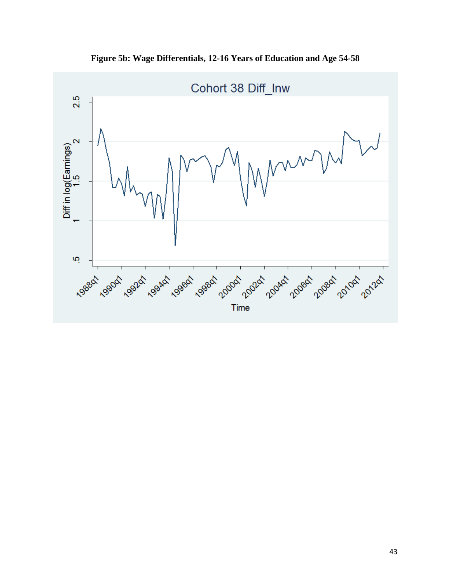

**Figure 5b: Wage Differentials, 12-16 Years of Education and Age 54-58**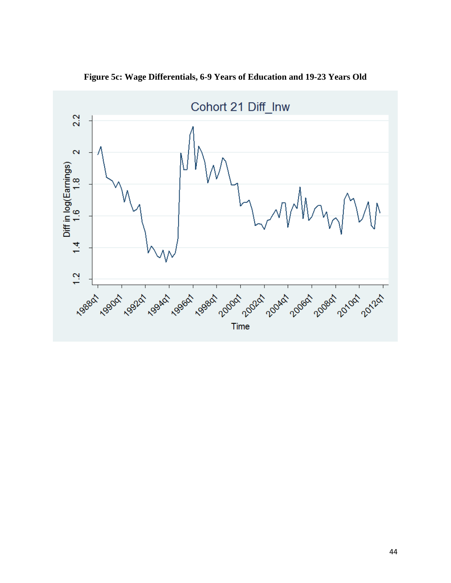

**Figure 5c: Wage Differentials, 6-9 Years of Education and 19-23 Years Old**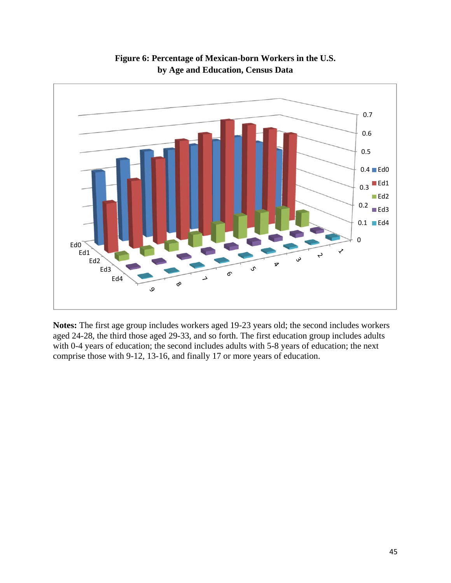

**Figure 6: Percentage of Mexican-born Workers in the U.S. by Age and Education, Census Data** 

**Notes:** The first age group includes workers aged 19-23 years old; the second includes workers aged 24-28, the third those aged 29-33, and so forth. The first education group includes adults with 0-4 years of education; the second includes adults with 5-8 years of education; the next comprise those with 9-12, 13-16, and finally 17 or more years of education.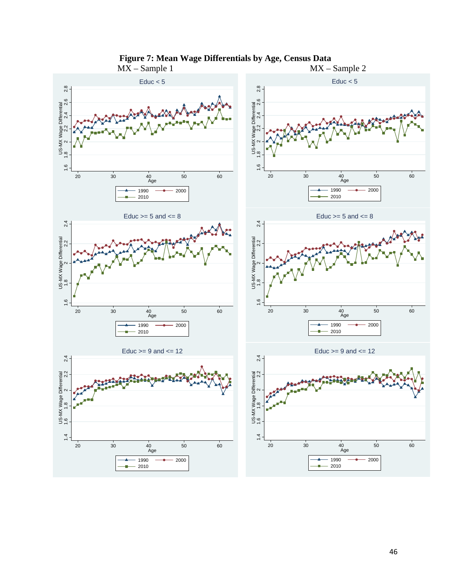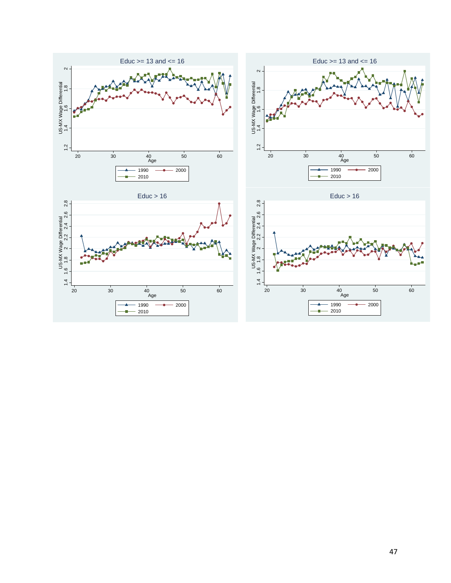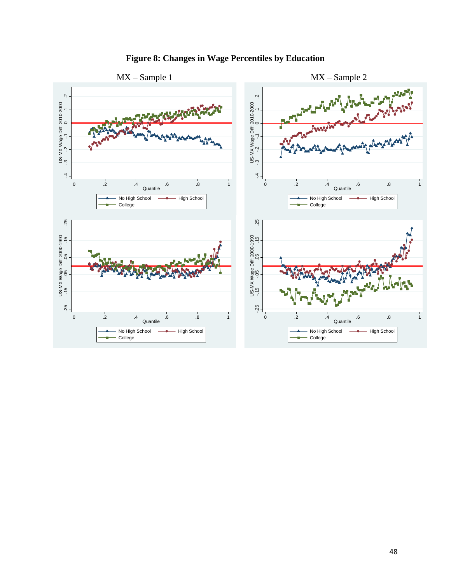

### **Figure 8: Changes in Wage Percentiles by Education**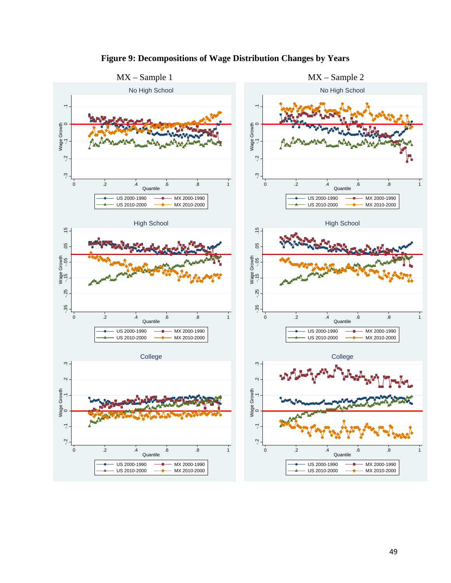

**Figure 9: Decompositions of Wage Distribution Changes by Years**